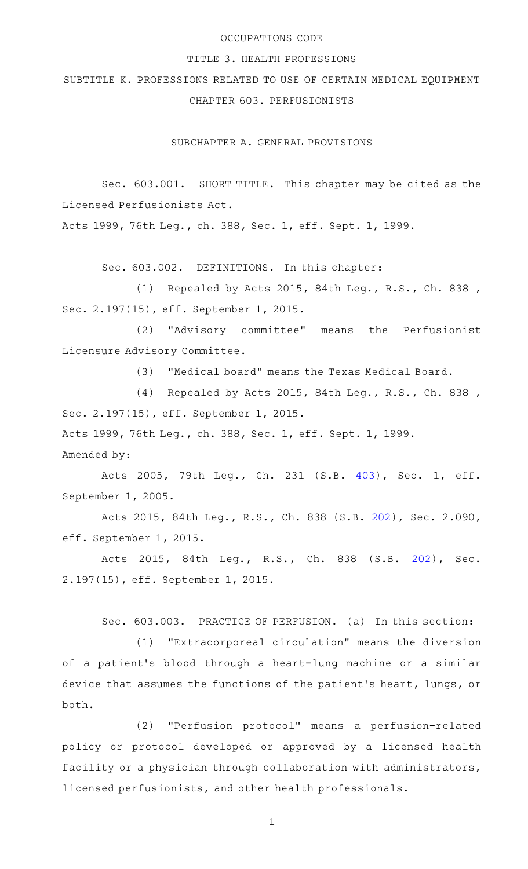# OCCUPATIONS CODE

### TITLE 3. HEALTH PROFESSIONS

SUBTITLE K. PROFESSIONS RELATED TO USE OF CERTAIN MEDICAL EQUIPMENT CHAPTER 603. PERFUSIONISTS

SUBCHAPTER A. GENERAL PROVISIONS

Sec. 603.001. SHORT TITLE. This chapter may be cited as the Licensed Perfusionists Act.

Acts 1999, 76th Leg., ch. 388, Sec. 1, eff. Sept. 1, 1999.

Sec. 603.002. DEFINITIONS. In this chapter:

(1) Repealed by Acts 2015, 84th Leg., R.S., Ch. 838, Sec. 2.197(15), eff. September 1, 2015.

(2) "Advisory committee" means the Perfusionist Licensure Advisory Committee.

(3) "Medical board" means the Texas Medical Board.

(4) Repealed by Acts 2015, 84th Leg., R.S., Ch. 838, Sec. 2.197(15), eff. September 1, 2015.

Acts 1999, 76th Leg., ch. 388, Sec. 1, eff. Sept. 1, 1999.

Amended by:

Acts 2005, 79th Leg., Ch. 231 (S.B. [403\)](http://www.legis.state.tx.us/tlodocs/79R/billtext/html/SB00403F.HTM), Sec. 1, eff. September 1, 2005.

Acts 2015, 84th Leg., R.S., Ch. 838 (S.B. [202](http://www.legis.state.tx.us/tlodocs/84R/billtext/html/SB00202F.HTM)), Sec. 2.090, eff. September 1, 2015.

Acts 2015, 84th Leg., R.S., Ch. 838 (S.B. [202\)](http://www.legis.state.tx.us/tlodocs/84R/billtext/html/SB00202F.HTM), Sec. 2.197(15), eff. September 1, 2015.

Sec. 603.003. PRACTICE OF PERFUSION. (a) In this section:

(1) "Extracorporeal circulation" means the diversion of a patient 's blood through a heart-lung machine or a similar device that assumes the functions of the patient 's heart, lungs, or both.

(2) "Perfusion protocol" means a perfusion-related policy or protocol developed or approved by a licensed health facility or a physician through collaboration with administrators, licensed perfusionists, and other health professionals.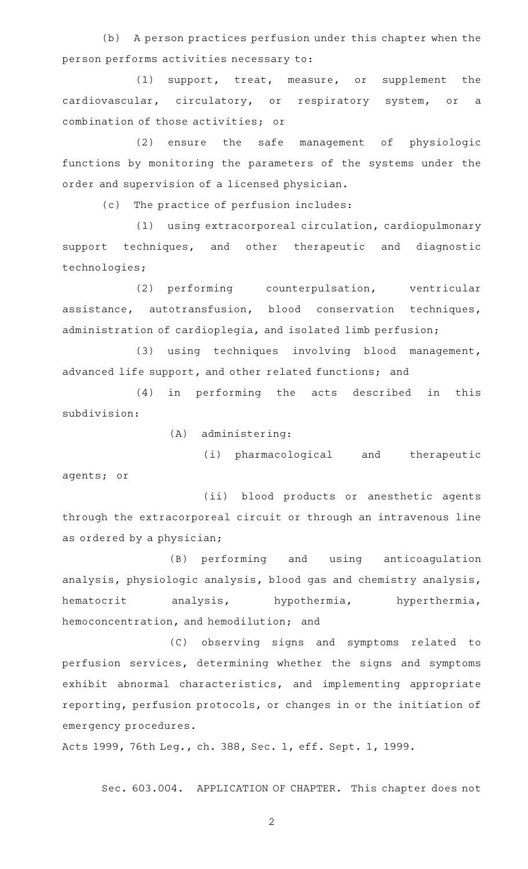(b) A person practices perfusion under this chapter when the person performs activities necessary to:

(1) support, treat, measure, or supplement the cardiovascular, circulatory, or respiratory system, or a combination of those activities; or

(2) ensure the safe management of physiologic functions by monitoring the parameters of the systems under the order and supervision of a licensed physician.

(c) The practice of perfusion includes:

(1) using extracorporeal circulation, cardiopulmonary support techniques, and other therapeutic and diagnostic technologies;

(2) performing counterpulsation, ventricular assistance, autotransfusion, blood conservation techniques, administration of cardioplegia, and isolated limb perfusion;

(3) using techniques involving blood management, advanced life support, and other related functions; and

(4) in performing the acts described in this subdivision:

 $(A)$  administering:

(i) pharmacological and therapeutic agents; or

(ii) blood products or anesthetic agents through the extracorporeal circuit or through an intravenous line as ordered by a physician;

(B) performing and using anticoagulation analysis, physiologic analysis, blood gas and chemistry analysis, hematocrit analysis, hypothermia, hyperthermia, hemoconcentration, and hemodilution; and

(C) observing signs and symptoms related to perfusion services, determining whether the signs and symptoms exhibit abnormal characteristics, and implementing appropriate reporting, perfusion protocols, or changes in or the initiation of emergency procedures.

Acts 1999, 76th Leg., ch. 388, Sec. 1, eff. Sept. 1, 1999.

Sec. 603.004. APPLICATION OF CHAPTER. This chapter does not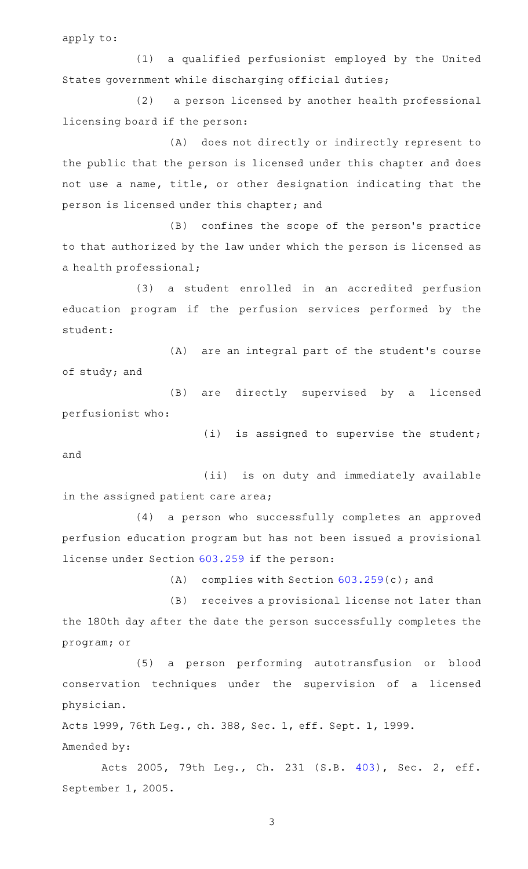apply to:

(1) a qualified perfusionist employed by the United States government while discharging official duties;

(2) a person licensed by another health professional licensing board if the person:

(A) does not directly or indirectly represent to the public that the person is licensed under this chapter and does not use a name, title, or other designation indicating that the person is licensed under this chapter; and

(B) confines the scope of the person's practice to that authorized by the law under which the person is licensed as a health professional;

(3) a student enrolled in an accredited perfusion education program if the perfusion services performed by the student:

(A) are an integral part of the student's course of study; and

(B) are directly supervised by a licensed perfusionist who:

 $(i)$  is assigned to supervise the student;

and

(ii) is on duty and immediately available in the assigned patient care area;

(4) a person who successfully completes an approved perfusion education program but has not been issued a provisional license under Section [603.259](http://www.statutes.legis.state.tx.us/GetStatute.aspx?Code=OC&Value=603.259) if the person:

(A) complies with Section  $603.259(c)$  $603.259(c)$ ; and

(B) receives a provisional license not later than the 180th day after the date the person successfully completes the program; or

(5) a person performing autotransfusion or blood conservation techniques under the supervision of a licensed physician.

Acts 1999, 76th Leg., ch. 388, Sec. 1, eff. Sept. 1, 1999. Amended by:

Acts 2005, 79th Leg., Ch. 231 (S.B. [403\)](http://www.legis.state.tx.us/tlodocs/79R/billtext/html/SB00403F.HTM), Sec. 2, eff. September 1, 2005.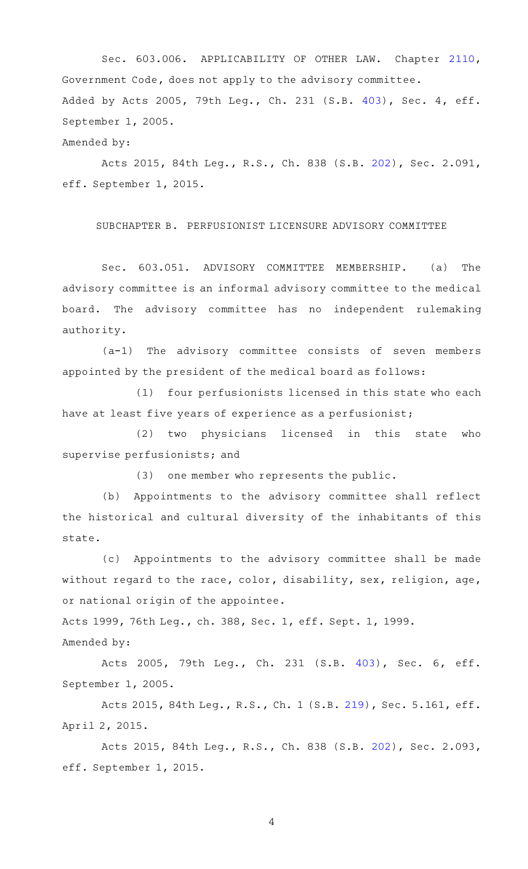Sec. 603.006. APPLICABILITY OF OTHER LAW. Chapter [2110](http://www.statutes.legis.state.tx.us/GetStatute.aspx?Code=GV&Value=2110), Government Code, does not apply to the advisory committee. Added by Acts 2005, 79th Leg., Ch. 231 (S.B. [403](http://www.legis.state.tx.us/tlodocs/79R/billtext/html/SB00403F.HTM)), Sec. 4, eff. September 1, 2005.

Amended by:

Acts 2015, 84th Leg., R.S., Ch. 838 (S.B. [202](http://www.legis.state.tx.us/tlodocs/84R/billtext/html/SB00202F.HTM)), Sec. 2.091, eff. September 1, 2015.

SUBCHAPTER B. PERFUSIONIST LICENSURE ADVISORY COMMITTEE

Sec. 603.051. ADVISORY COMMITTEE MEMBERSHIP. (a) The advisory committee is an informal advisory committee to the medical board. The advisory committee has no independent rulemaking authority.

 $(a-1)$  The advisory committee consists of seven members appointed by the president of the medical board as follows:

(1) four perfusionists licensed in this state who each have at least five years of experience as a perfusionist;

(2) two physicians licensed in this state who supervise perfusionists; and

 $(3)$  one member who represents the public.

(b) Appointments to the advisory committee shall reflect the historical and cultural diversity of the inhabitants of this state.

(c) Appointments to the advisory committee shall be made without regard to the race, color, disability, sex, religion, age, or national origin of the appointee.

Acts 1999, 76th Leg., ch. 388, Sec. 1, eff. Sept. 1, 1999.

Amended by:

Acts 2005, 79th Leg., Ch. 231 (S.B. [403\)](http://www.legis.state.tx.us/tlodocs/79R/billtext/html/SB00403F.HTM), Sec. 6, eff. September 1, 2005.

Acts 2015, 84th Leg., R.S., Ch. 1 (S.B. [219](http://www.legis.state.tx.us/tlodocs/84R/billtext/html/SB00219F.HTM)), Sec. 5.161, eff. April 2, 2015.

Acts 2015, 84th Leg., R.S., Ch. 838 (S.B. [202](http://www.legis.state.tx.us/tlodocs/84R/billtext/html/SB00202F.HTM)), Sec. 2.093, eff. September 1, 2015.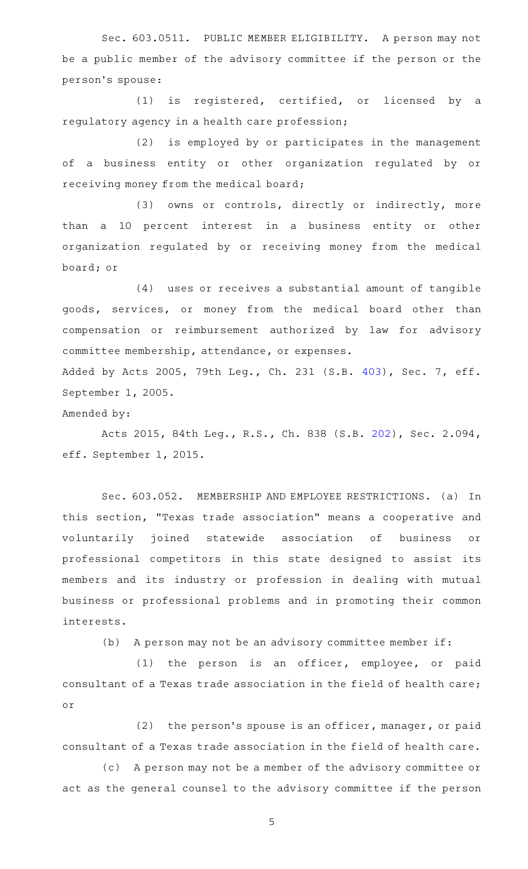Sec. 603.0511. PUBLIC MEMBER ELIGIBILITY. A person may not be a public member of the advisory committee if the person or the person 's spouse:

 $(1)$  is registered, certified, or licensed by a regulatory agency in a health care profession;

(2) is employed by or participates in the management of a business entity or other organization regulated by or receiving money from the medical board;

(3) owns or controls, directly or indirectly, more than a 10 percent interest in a business entity or other organization regulated by or receiving money from the medical board; or

 $(4)$  uses or receives a substantial amount of tangible goods, services, or money from the medical board other than compensation or reimbursement authorized by law for advisory committee membership, attendance, or expenses.

Added by Acts 2005, 79th Leg., Ch. 231 (S.B. [403](http://www.legis.state.tx.us/tlodocs/79R/billtext/html/SB00403F.HTM)), Sec. 7, eff. September 1, 2005.

Amended by:

Acts 2015, 84th Leg., R.S., Ch. 838 (S.B. [202](http://www.legis.state.tx.us/tlodocs/84R/billtext/html/SB00202F.HTM)), Sec. 2.094, eff. September 1, 2015.

Sec. 603.052. MEMBERSHIP AND EMPLOYEE RESTRICTIONS. (a) In this section, "Texas trade association" means a cooperative and voluntarily joined statewide association of business or professional competitors in this state designed to assist its members and its industry or profession in dealing with mutual business or professional problems and in promoting their common interests.

(b) A person may not be an advisory committee member if:

 $(1)$  the person is an officer, employee, or paid consultant of a Texas trade association in the field of health care; or

 $(2)$  the person's spouse is an officer, manager, or paid consultant of a Texas trade association in the field of health care.

(c) A person may not be a member of the advisory committee or act as the general counsel to the advisory committee if the person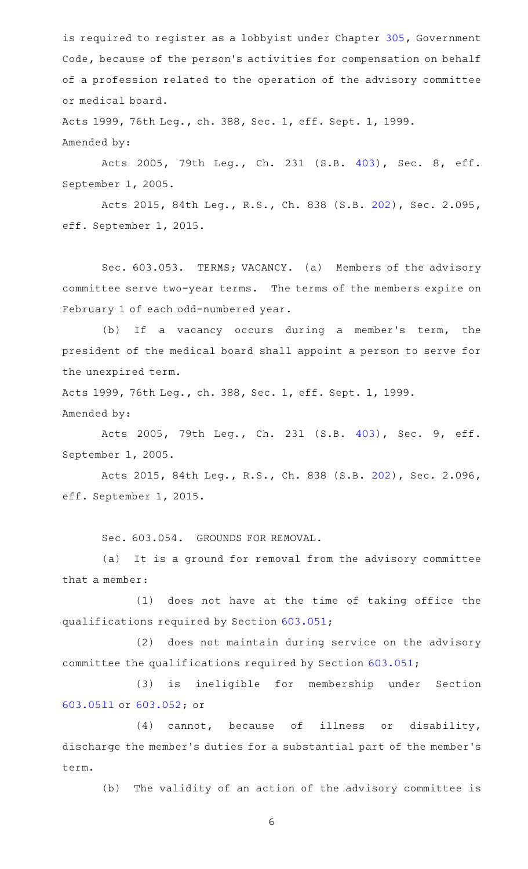is required to register as a lobbyist under Chapter [305](http://www.statutes.legis.state.tx.us/GetStatute.aspx?Code=GV&Value=305), Government Code, because of the person's activities for compensation on behalf of a profession related to the operation of the advisory committee or medical board.

Acts 1999, 76th Leg., ch. 388, Sec. 1, eff. Sept. 1, 1999. Amended by:

Acts 2005, 79th Leg., Ch. 231 (S.B. [403\)](http://www.legis.state.tx.us/tlodocs/79R/billtext/html/SB00403F.HTM), Sec. 8, eff. September 1, 2005.

Acts 2015, 84th Leg., R.S., Ch. 838 (S.B. [202](http://www.legis.state.tx.us/tlodocs/84R/billtext/html/SB00202F.HTM)), Sec. 2.095, eff. September 1, 2015.

Sec. 603.053. TERMS; VACANCY. (a) Members of the advisory committee serve two-year terms. The terms of the members expire on February 1 of each odd-numbered year.

(b) If a vacancy occurs during a member's term, the president of the medical board shall appoint a person to serve for the unexpired term.

Acts 1999, 76th Leg., ch. 388, Sec. 1, eff. Sept. 1, 1999. Amended by:

Acts 2005, 79th Leg., Ch. 231 (S.B. [403\)](http://www.legis.state.tx.us/tlodocs/79R/billtext/html/SB00403F.HTM), Sec. 9, eff. September 1, 2005.

Acts 2015, 84th Leg., R.S., Ch. 838 (S.B. [202](http://www.legis.state.tx.us/tlodocs/84R/billtext/html/SB00202F.HTM)), Sec. 2.096, eff. September 1, 2015.

Sec. 603.054. GROUNDS FOR REMOVAL.

(a) It is a ground for removal from the advisory committee that a member:

(1) does not have at the time of taking office the qualifications required by Section [603.051;](http://www.statutes.legis.state.tx.us/GetStatute.aspx?Code=OC&Value=603.051)

(2) does not maintain during service on the advisory committee the qualifications required by Section [603.051;](http://www.statutes.legis.state.tx.us/GetStatute.aspx?Code=OC&Value=603.051)

(3) is ineligible for membership under Section [603.0511](http://www.statutes.legis.state.tx.us/GetStatute.aspx?Code=OC&Value=603.0511) or [603.052](http://www.statutes.legis.state.tx.us/GetStatute.aspx?Code=OC&Value=603.052); or

 $(4)$  cannot, because of illness or disability, discharge the member 's duties for a substantial part of the member 's term.

(b) The validity of an action of the advisory committee is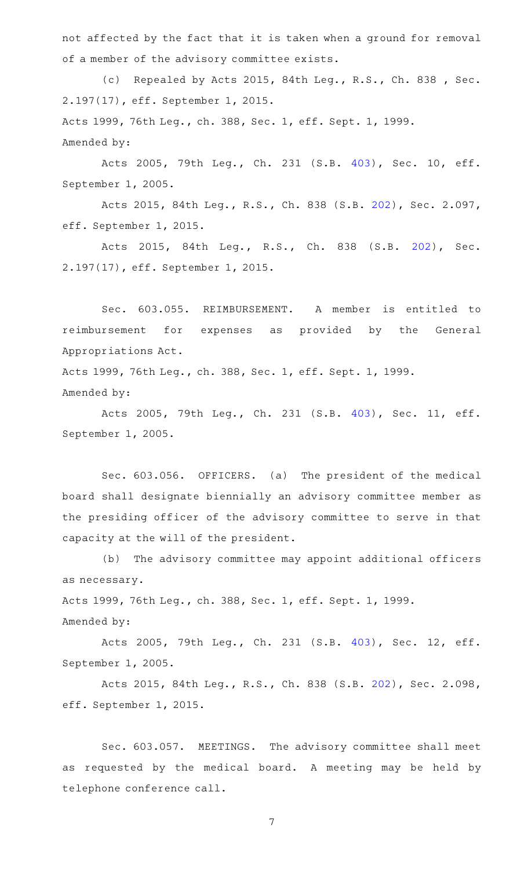not affected by the fact that it is taken when a ground for removal of a member of the advisory committee exists.

(c) Repealed by Acts 2015, 84th Leg., R.S., Ch. 838 , Sec. 2.197(17), eff. September 1, 2015. Acts 1999, 76th Leg., ch. 388, Sec. 1, eff. Sept. 1, 1999. Amended by:

Acts 2005, 79th Leg., Ch. 231 (S.B. [403\)](http://www.legis.state.tx.us/tlodocs/79R/billtext/html/SB00403F.HTM), Sec. 10, eff. September 1, 2005.

Acts 2015, 84th Leg., R.S., Ch. 838 (S.B. [202](http://www.legis.state.tx.us/tlodocs/84R/billtext/html/SB00202F.HTM)), Sec. 2.097, eff. September 1, 2015.

Acts 2015, 84th Leg., R.S., Ch. 838 (S.B. [202\)](http://www.legis.state.tx.us/tlodocs/84R/billtext/html/SB00202F.HTM), Sec. 2.197(17), eff. September 1, 2015.

Sec. 603.055. REIMBURSEMENT. A member is entitled to reimbursement for expenses as provided by the General Appropriations Act.

Acts 1999, 76th Leg., ch. 388, Sec. 1, eff. Sept. 1, 1999. Amended by:

Acts 2005, 79th Leg., Ch. 231 (S.B. [403\)](http://www.legis.state.tx.us/tlodocs/79R/billtext/html/SB00403F.HTM), Sec. 11, eff. September 1, 2005.

Sec. 603.056. OFFICERS. (a) The president of the medical board shall designate biennially an advisory committee member as the presiding officer of the advisory committee to serve in that capacity at the will of the president.

(b) The advisory committee may appoint additional officers as necessary.

Acts 1999, 76th Leg., ch. 388, Sec. 1, eff. Sept. 1, 1999.

Amended by:

Acts 2005, 79th Leg., Ch. 231 (S.B. [403\)](http://www.legis.state.tx.us/tlodocs/79R/billtext/html/SB00403F.HTM), Sec. 12, eff. September 1, 2005.

Acts 2015, 84th Leg., R.S., Ch. 838 (S.B. [202](http://www.legis.state.tx.us/tlodocs/84R/billtext/html/SB00202F.HTM)), Sec. 2.098, eff. September 1, 2015.

Sec. 603.057. MEETINGS. The advisory committee shall meet as requested by the medical board. A meeting may be held by telephone conference call.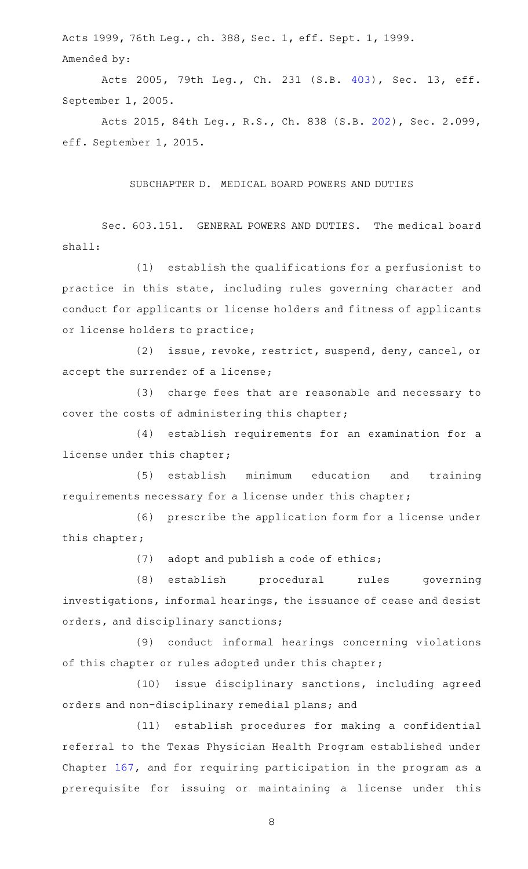Acts 1999, 76th Leg., ch. 388, Sec. 1, eff. Sept. 1, 1999. Amended by:

Acts 2005, 79th Leg., Ch. 231 (S.B. [403\)](http://www.legis.state.tx.us/tlodocs/79R/billtext/html/SB00403F.HTM), Sec. 13, eff. September 1, 2005.

Acts 2015, 84th Leg., R.S., Ch. 838 (S.B. [202](http://www.legis.state.tx.us/tlodocs/84R/billtext/html/SB00202F.HTM)), Sec. 2.099, eff. September 1, 2015.

# SUBCHAPTER D. MEDICAL BOARD POWERS AND DUTIES

Sec. 603.151. GENERAL POWERS AND DUTIES. The medical board shall:

(1) establish the qualifications for a perfusionist to practice in this state, including rules governing character and conduct for applicants or license holders and fitness of applicants or license holders to practice;

(2) issue, revoke, restrict, suspend, deny, cancel, or accept the surrender of a license;

(3) charge fees that are reasonable and necessary to cover the costs of administering this chapter;

(4) establish requirements for an examination for a license under this chapter;

(5) establish minimum education and training requirements necessary for a license under this chapter;

(6) prescribe the application form for a license under this chapter;

 $(7)$  adopt and publish a code of ethics;

(8) establish procedural rules governing investigations, informal hearings, the issuance of cease and desist orders, and disciplinary sanctions;

(9) conduct informal hearings concerning violations of this chapter or rules adopted under this chapter;

(10) issue disciplinary sanctions, including agreed orders and non-disciplinary remedial plans; and

(11) establish procedures for making a confidential referral to the Texas Physician Health Program established under Chapter [167](http://www.statutes.legis.state.tx.us/GetStatute.aspx?Code=OC&Value=167), and for requiring participation in the program as a prerequisite for issuing or maintaining a license under this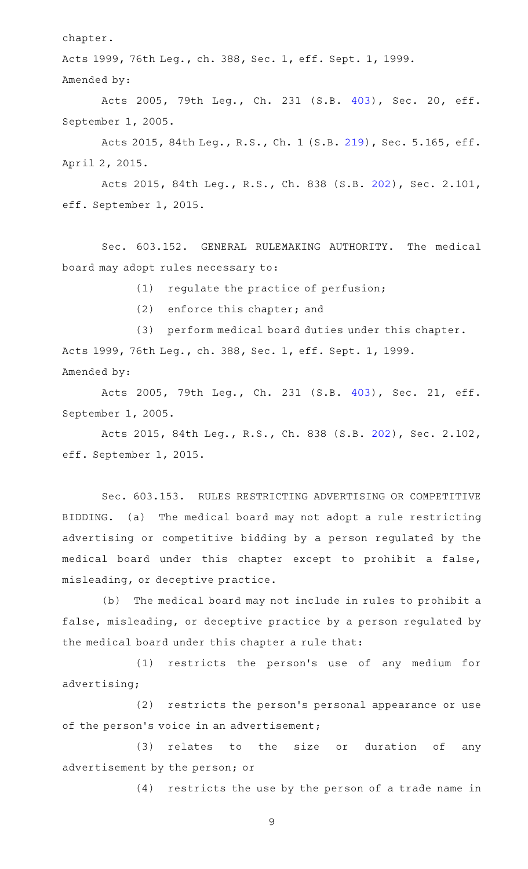chapter.

Acts 1999, 76th Leg., ch. 388, Sec. 1, eff. Sept. 1, 1999. Amended by:

Acts 2005, 79th Leg., Ch. 231 (S.B. [403\)](http://www.legis.state.tx.us/tlodocs/79R/billtext/html/SB00403F.HTM), Sec. 20, eff. September 1, 2005.

Acts 2015, 84th Leg., R.S., Ch. 1 (S.B. [219](http://www.legis.state.tx.us/tlodocs/84R/billtext/html/SB00219F.HTM)), Sec. 5.165, eff. April 2, 2015.

Acts 2015, 84th Leg., R.S., Ch. 838 (S.B. [202](http://www.legis.state.tx.us/tlodocs/84R/billtext/html/SB00202F.HTM)), Sec. 2.101, eff. September 1, 2015.

Sec. 603.152. GENERAL RULEMAKING AUTHORITY. The medical board may adopt rules necessary to:

 $(1)$  regulate the practice of perfusion;

(2) enforce this chapter; and

(3) perform medical board duties under this chapter. Acts 1999, 76th Leg., ch. 388, Sec. 1, eff. Sept. 1, 1999. Amended by:

Acts 2005, 79th Leg., Ch. 231 (S.B. [403\)](http://www.legis.state.tx.us/tlodocs/79R/billtext/html/SB00403F.HTM), Sec. 21, eff. September 1, 2005.

Acts 2015, 84th Leg., R.S., Ch. 838 (S.B. [202](http://www.legis.state.tx.us/tlodocs/84R/billtext/html/SB00202F.HTM)), Sec. 2.102, eff. September 1, 2015.

Sec. 603.153. RULES RESTRICTING ADVERTISING OR COMPETITIVE BIDDING. (a) The medical board may not adopt a rule restricting advertising or competitive bidding by a person regulated by the medical board under this chapter except to prohibit a false, misleading, or deceptive practice.

(b) The medical board may not include in rules to prohibit a false, misleading, or deceptive practice by a person regulated by the medical board under this chapter a rule that:

(1) restricts the person's use of any medium for advertising;

(2) restricts the person's personal appearance or use of the person's voice in an advertisement;

(3) relates to the size or duration of any advertisement by the person; or

(4) restricts the use by the person of a trade name in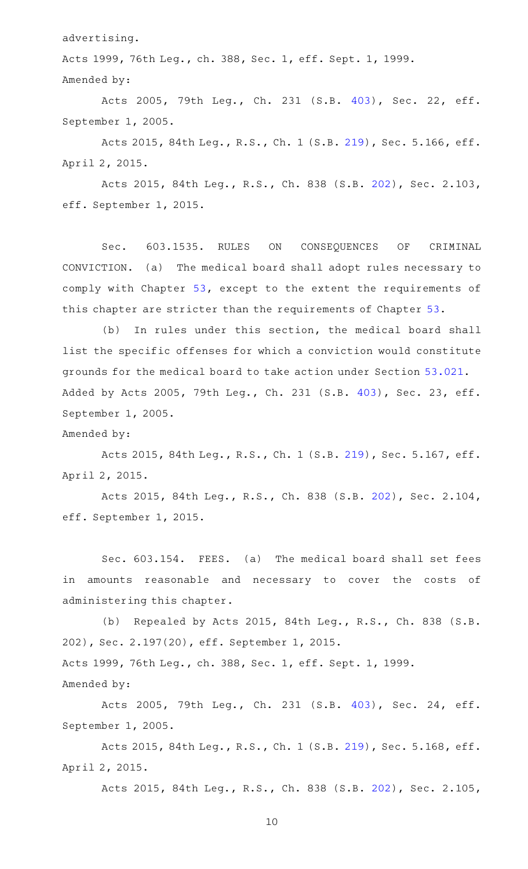advertising.

Acts 1999, 76th Leg., ch. 388, Sec. 1, eff. Sept. 1, 1999. Amended by:

Acts 2005, 79th Leg., Ch. 231 (S.B. [403\)](http://www.legis.state.tx.us/tlodocs/79R/billtext/html/SB00403F.HTM), Sec. 22, eff. September 1, 2005.

Acts 2015, 84th Leg., R.S., Ch. 1 (S.B. [219](http://www.legis.state.tx.us/tlodocs/84R/billtext/html/SB00219F.HTM)), Sec. 5.166, eff. April 2, 2015.

Acts 2015, 84th Leg., R.S., Ch. 838 (S.B. [202](http://www.legis.state.tx.us/tlodocs/84R/billtext/html/SB00202F.HTM)), Sec. 2.103, eff. September 1, 2015.

Sec. 603.1535. RULES ON CONSEQUENCES OF CRIMINAL CONVICTION. (a) The medical board shall adopt rules necessary to comply with Chapter [53,](http://www.statutes.legis.state.tx.us/GetStatute.aspx?Code=OC&Value=53) except to the extent the requirements of this chapter are stricter than the requirements of Chapter [53.](http://www.statutes.legis.state.tx.us/GetStatute.aspx?Code=OC&Value=53)

(b) In rules under this section, the medical board shall list the specific offenses for which a conviction would constitute grounds for the medical board to take action under Section [53.021](http://www.statutes.legis.state.tx.us/GetStatute.aspx?Code=OC&Value=53.021). Added by Acts 2005, 79th Leg., Ch. 231 (S.B. [403](http://www.legis.state.tx.us/tlodocs/79R/billtext/html/SB00403F.HTM)), Sec. 23, eff. September 1, 2005.

Amended by:

Acts 2015, 84th Leg., R.S., Ch. 1 (S.B. [219](http://www.legis.state.tx.us/tlodocs/84R/billtext/html/SB00219F.HTM)), Sec. 5.167, eff. April 2, 2015.

Acts 2015, 84th Leg., R.S., Ch. 838 (S.B. [202](http://www.legis.state.tx.us/tlodocs/84R/billtext/html/SB00202F.HTM)), Sec. 2.104, eff. September 1, 2015.

Sec. 603.154. FEES. (a) The medical board shall set fees in amounts reasonable and necessary to cover the costs of administering this chapter.

(b) Repealed by Acts 2015, 84th Leg., R.S., Ch. 838 (S.B. 202), Sec. 2.197(20), eff. September 1, 2015. Acts 1999, 76th Leg., ch. 388, Sec. 1, eff. Sept. 1, 1999. Amended by:

Acts 2005, 79th Leg., Ch. 231 (S.B. [403\)](http://www.legis.state.tx.us/tlodocs/79R/billtext/html/SB00403F.HTM), Sec. 24, eff. September 1, 2005.

Acts 2015, 84th Leg., R.S., Ch. 1 (S.B. [219](http://www.legis.state.tx.us/tlodocs/84R/billtext/html/SB00219F.HTM)), Sec. 5.168, eff. April 2, 2015.

Acts 2015, 84th Leg., R.S., Ch. 838 (S.B. [202](http://www.legis.state.tx.us/tlodocs/84R/billtext/html/SB00202F.HTM)), Sec. 2.105,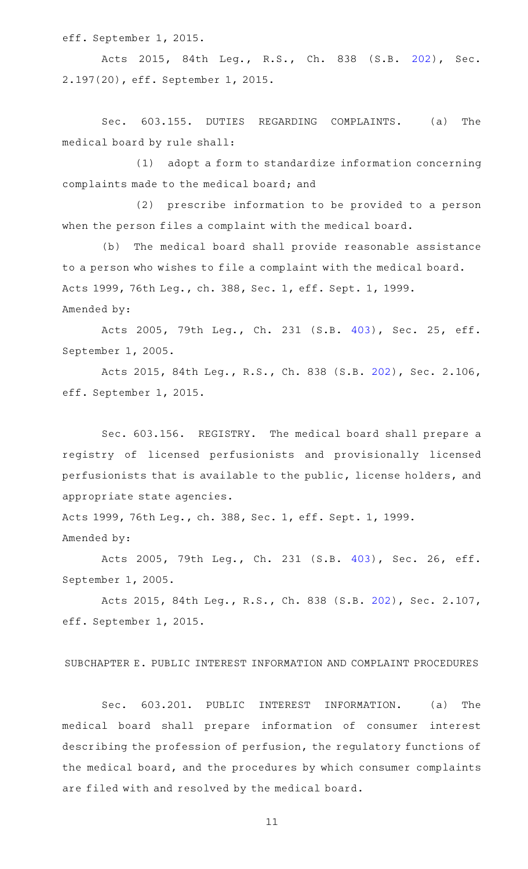eff. September 1, 2015.

Acts 2015, 84th Leg., R.S., Ch. 838 (S.B. [202\)](http://www.legis.state.tx.us/tlodocs/84R/billtext/html/SB00202F.HTM), Sec. 2.197(20), eff. September 1, 2015.

Sec. 603.155. DUTIES REGARDING COMPLAINTS. (a) The medical board by rule shall:

(1) adopt a form to standardize information concerning complaints made to the medical board; and

(2) prescribe information to be provided to a person when the person files a complaint with the medical board.

(b) The medical board shall provide reasonable assistance to a person who wishes to file a complaint with the medical board. Acts 1999, 76th Leg., ch. 388, Sec. 1, eff. Sept. 1, 1999. Amended by:

Acts 2005, 79th Leg., Ch. 231 (S.B. [403\)](http://www.legis.state.tx.us/tlodocs/79R/billtext/html/SB00403F.HTM), Sec. 25, eff. September 1, 2005.

Acts 2015, 84th Leg., R.S., Ch. 838 (S.B. [202](http://www.legis.state.tx.us/tlodocs/84R/billtext/html/SB00202F.HTM)), Sec. 2.106, eff. September 1, 2015.

Sec. 603.156. REGISTRY. The medical board shall prepare a registry of licensed perfusionists and provisionally licensed perfusionists that is available to the public, license holders, and appropriate state agencies.

Acts 1999, 76th Leg., ch. 388, Sec. 1, eff. Sept. 1, 1999. Amended by:

Acts 2005, 79th Leg., Ch. 231 (S.B. [403\)](http://www.legis.state.tx.us/tlodocs/79R/billtext/html/SB00403F.HTM), Sec. 26, eff. September 1, 2005.

Acts 2015, 84th Leg., R.S., Ch. 838 (S.B. [202](http://www.legis.state.tx.us/tlodocs/84R/billtext/html/SB00202F.HTM)), Sec. 2.107, eff. September 1, 2015.

SUBCHAPTER E. PUBLIC INTEREST INFORMATION AND COMPLAINT PROCEDURES

Sec. 603.201. PUBLIC INTEREST INFORMATION. (a) The medical board shall prepare information of consumer interest describing the profession of perfusion, the regulatory functions of the medical board, and the procedures by which consumer complaints are filed with and resolved by the medical board.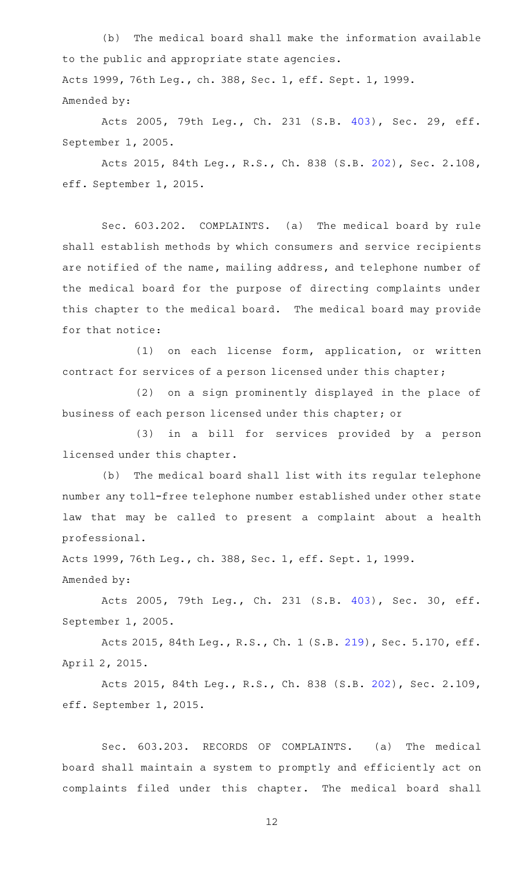(b) The medical board shall make the information available to the public and appropriate state agencies. Acts 1999, 76th Leg., ch. 388, Sec. 1, eff. Sept. 1, 1999. Amended by:

Acts 2005, 79th Leg., Ch. 231 (S.B. [403\)](http://www.legis.state.tx.us/tlodocs/79R/billtext/html/SB00403F.HTM), Sec. 29, eff. September 1, 2005.

Acts 2015, 84th Leg., R.S., Ch. 838 (S.B. [202](http://www.legis.state.tx.us/tlodocs/84R/billtext/html/SB00202F.HTM)), Sec. 2.108, eff. September 1, 2015.

Sec. 603.202. COMPLAINTS. (a) The medical board by rule shall establish methods by which consumers and service recipients are notified of the name, mailing address, and telephone number of the medical board for the purpose of directing complaints under this chapter to the medical board. The medical board may provide for that notice:

(1) on each license form, application, or written contract for services of a person licensed under this chapter;

(2) on a sign prominently displayed in the place of business of each person licensed under this chapter; or

(3) in a bill for services provided by a person licensed under this chapter.

(b) The medical board shall list with its regular telephone number any toll-free telephone number established under other state law that may be called to present a complaint about a health professional.

Acts 1999, 76th Leg., ch. 388, Sec. 1, eff. Sept. 1, 1999. Amended by:

Acts 2005, 79th Leg., Ch. 231 (S.B. [403\)](http://www.legis.state.tx.us/tlodocs/79R/billtext/html/SB00403F.HTM), Sec. 30, eff. September 1, 2005.

Acts 2015, 84th Leg., R.S., Ch. 1 (S.B. [219](http://www.legis.state.tx.us/tlodocs/84R/billtext/html/SB00219F.HTM)), Sec. 5.170, eff. April 2, 2015.

Acts 2015, 84th Leg., R.S., Ch. 838 (S.B. [202](http://www.legis.state.tx.us/tlodocs/84R/billtext/html/SB00202F.HTM)), Sec. 2.109, eff. September 1, 2015.

Sec. 603.203. RECORDS OF COMPLAINTS. (a) The medical board shall maintain a system to promptly and efficiently act on complaints filed under this chapter. The medical board shall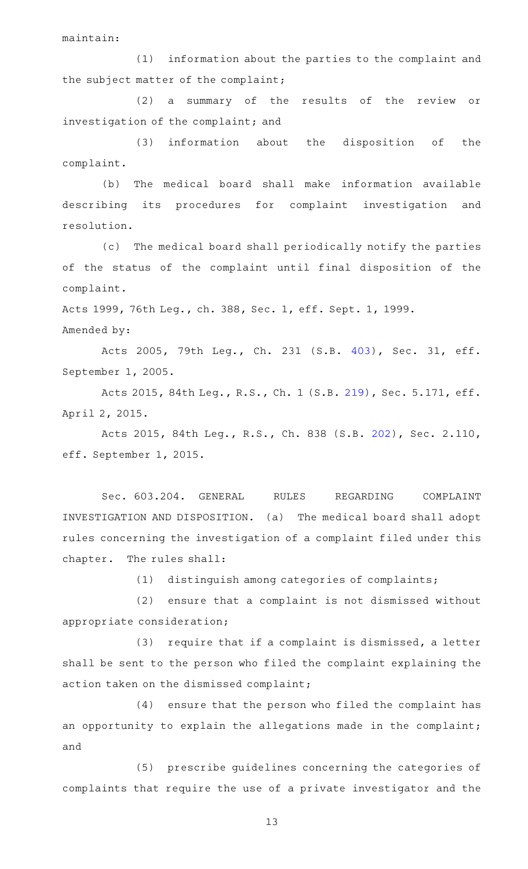maintain:

(1) information about the parties to the complaint and the subject matter of the complaint;

(2) a summary of the results of the review or investigation of the complaint; and

 $(3)$  information about the disposition of the complaint.

(b) The medical board shall make information available describing its procedures for complaint investigation and resolution.

(c) The medical board shall periodically notify the parties of the status of the complaint until final disposition of the complaint.

Acts 1999, 76th Leg., ch. 388, Sec. 1, eff. Sept. 1, 1999.

Amended by:

Acts 2005, 79th Leg., Ch. 231 (S.B. [403\)](http://www.legis.state.tx.us/tlodocs/79R/billtext/html/SB00403F.HTM), Sec. 31, eff. September 1, 2005.

Acts 2015, 84th Leg., R.S., Ch. 1 (S.B. [219](http://www.legis.state.tx.us/tlodocs/84R/billtext/html/SB00219F.HTM)), Sec. 5.171, eff. April 2, 2015.

Acts 2015, 84th Leg., R.S., Ch. 838 (S.B. [202](http://www.legis.state.tx.us/tlodocs/84R/billtext/html/SB00202F.HTM)), Sec. 2.110, eff. September 1, 2015.

Sec. 603.204. GENERAL RULES REGARDING COMPLAINT INVESTIGATION AND DISPOSITION. (a) The medical board shall adopt rules concerning the investigation of a complaint filed under this chapter. The rules shall:

 $(1)$  distinguish among categories of complaints;

(2) ensure that a complaint is not dismissed without appropriate consideration;

 $(3)$  require that if a complaint is dismissed, a letter shall be sent to the person who filed the complaint explaining the action taken on the dismissed complaint;

(4) ensure that the person who filed the complaint has an opportunity to explain the allegations made in the complaint; and

(5) prescribe guidelines concerning the categories of complaints that require the use of a private investigator and the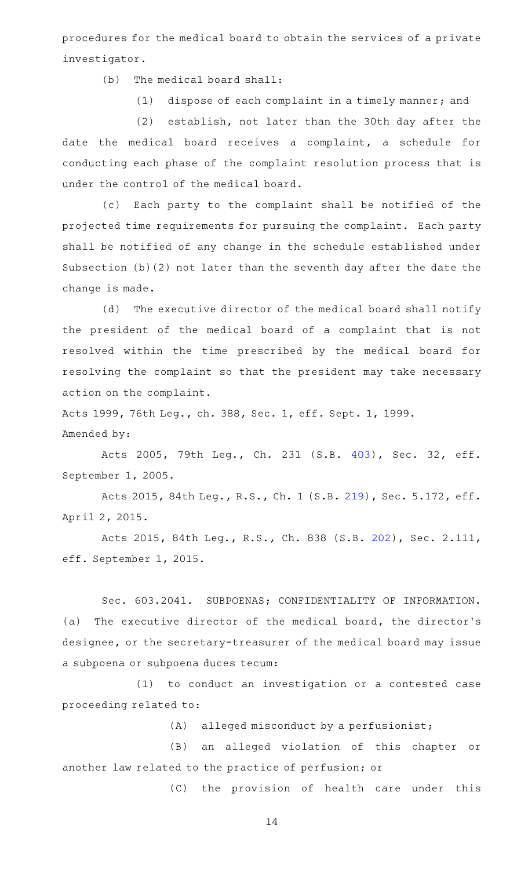procedures for the medical board to obtain the services of a private investigator.

 $(b)$  The medical board shall:

(1) dispose of each complaint in a timely manner; and

(2) establish, not later than the 30th day after the date the medical board receives a complaint, a schedule for conducting each phase of the complaint resolution process that is under the control of the medical board.

(c) Each party to the complaint shall be notified of the projected time requirements for pursuing the complaint. Each party shall be notified of any change in the schedule established under Subsection (b)(2) not later than the seventh day after the date the change is made.

(d) The executive director of the medical board shall notify the president of the medical board of a complaint that is not resolved within the time prescribed by the medical board for resolving the complaint so that the president may take necessary action on the complaint.

Acts 1999, 76th Leg., ch. 388, Sec. 1, eff. Sept. 1, 1999. Amended by:

Acts 2005, 79th Leg., Ch. 231 (S.B. [403\)](http://www.legis.state.tx.us/tlodocs/79R/billtext/html/SB00403F.HTM), Sec. 32, eff. September 1, 2005.

Acts 2015, 84th Leg., R.S., Ch. 1 (S.B. [219](http://www.legis.state.tx.us/tlodocs/84R/billtext/html/SB00219F.HTM)), Sec. 5.172, eff. April 2, 2015.

Acts 2015, 84th Leg., R.S., Ch. 838 (S.B. [202](http://www.legis.state.tx.us/tlodocs/84R/billtext/html/SB00202F.HTM)), Sec. 2.111, eff. September 1, 2015.

Sec. 603.2041. SUBPOENAS; CONFIDENTIALITY OF INFORMATION. (a) The executive director of the medical board, the director's designee, or the secretary-treasurer of the medical board may issue a subpoena or subpoena duces tecum:

(1) to conduct an investigation or a contested case proceeding related to:

 $(A)$  alleged misconduct by a perfusionist;

(B) an alleged violation of this chapter or another law related to the practice of perfusion; or

(C) the provision of health care under this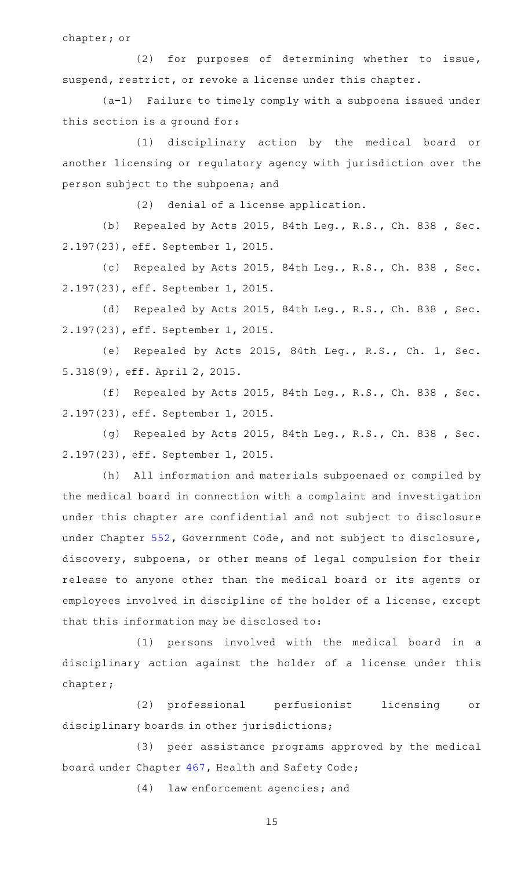chapter; or

(2) for purposes of determining whether to issue, suspend, restrict, or revoke a license under this chapter.

(a-1) Failure to timely comply with a subpoena issued under this section is a ground for:

(1) disciplinary action by the medical board or another licensing or regulatory agency with jurisdiction over the person subject to the subpoena; and

 $(2)$  denial of a license application.

(b) Repealed by Acts 2015, 84th Leg., R.S., Ch. 838 , Sec. 2.197(23), eff. September 1, 2015.

(c) Repealed by Acts 2015, 84th Leg., R.S., Ch. 838 , Sec. 2.197(23), eff. September 1, 2015.

(d) Repealed by Acts 2015, 84th Leg., R.S., Ch. 838 , Sec. 2.197(23), eff. September 1, 2015.

(e) Repealed by Acts 2015, 84th Leg., R.S., Ch. 1, Sec. 5.318(9), eff. April 2, 2015.

(f) Repealed by Acts 2015, 84th Leg., R.S., Ch. 838, Sec. 2.197(23), eff. September 1, 2015.

(g) Repealed by Acts 2015, 84th Leg., R.S., Ch. 838, Sec. 2.197(23), eff. September 1, 2015.

(h) All information and materials subpoenaed or compiled by the medical board in connection with a complaint and investigation under this chapter are confidential and not subject to disclosure under Chapter [552,](http://www.statutes.legis.state.tx.us/GetStatute.aspx?Code=GV&Value=552) Government Code, and not subject to disclosure, discovery, subpoena, or other means of legal compulsion for their release to anyone other than the medical board or its agents or employees involved in discipline of the holder of a license, except that this information may be disclosed to:

(1) persons involved with the medical board in a disciplinary action against the holder of a license under this chapter;

(2) professional perfusionist licensing or disciplinary boards in other jurisdictions;

(3) peer assistance programs approved by the medical board under Chapter [467](http://www.statutes.legis.state.tx.us/GetStatute.aspx?Code=HS&Value=467), Health and Safety Code;

(4) law enforcement agencies; and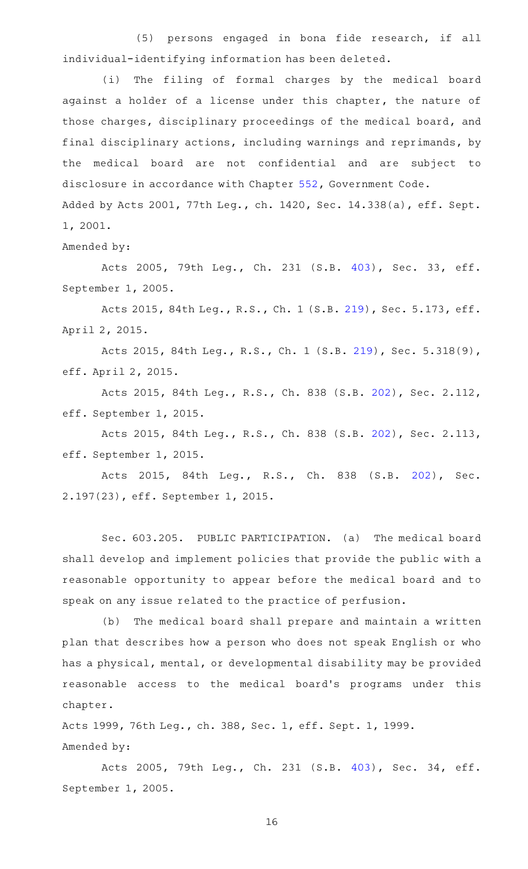(5) persons engaged in bona fide research, if all individual-identifying information has been deleted.

(i) The filing of formal charges by the medical board against a holder of a license under this chapter, the nature of those charges, disciplinary proceedings of the medical board, and final disciplinary actions, including warnings and reprimands, by the medical board are not confidential and are subject to disclosure in accordance with Chapter [552,](http://www.statutes.legis.state.tx.us/GetStatute.aspx?Code=GV&Value=552) Government Code. Added by Acts 2001, 77th Leg., ch. 1420, Sec. 14.338(a), eff. Sept.

1, 2001.

Amended by:

Acts 2005, 79th Leg., Ch. 231 (S.B. [403\)](http://www.legis.state.tx.us/tlodocs/79R/billtext/html/SB00403F.HTM), Sec. 33, eff. September 1, 2005.

Acts 2015, 84th Leg., R.S., Ch. 1 (S.B. [219](http://www.legis.state.tx.us/tlodocs/84R/billtext/html/SB00219F.HTM)), Sec. 5.173, eff. April 2, 2015.

Acts 2015, 84th Leg., R.S., Ch. 1 (S.B. [219](http://www.legis.state.tx.us/tlodocs/84R/billtext/html/SB00219F.HTM)), Sec. 5.318(9), eff. April 2, 2015.

Acts 2015, 84th Leg., R.S., Ch. 838 (S.B. [202](http://www.legis.state.tx.us/tlodocs/84R/billtext/html/SB00202F.HTM)), Sec. 2.112, eff. September 1, 2015.

Acts 2015, 84th Leg., R.S., Ch. 838 (S.B. [202](http://www.legis.state.tx.us/tlodocs/84R/billtext/html/SB00202F.HTM)), Sec. 2.113, eff. September 1, 2015.

Acts 2015, 84th Leg., R.S., Ch. 838 (S.B. [202\)](http://www.legis.state.tx.us/tlodocs/84R/billtext/html/SB00202F.HTM), Sec. 2.197(23), eff. September 1, 2015.

Sec. 603.205. PUBLIC PARTICIPATION. (a) The medical board shall develop and implement policies that provide the public with a reasonable opportunity to appear before the medical board and to speak on any issue related to the practice of perfusion.

(b) The medical board shall prepare and maintain a written plan that describes how a person who does not speak English or who has a physical, mental, or developmental disability may be provided reasonable access to the medical board's programs under this chapter.

Acts 1999, 76th Leg., ch. 388, Sec. 1, eff. Sept. 1, 1999. Amended by:

Acts 2005, 79th Leg., Ch. 231 (S.B. [403\)](http://www.legis.state.tx.us/tlodocs/79R/billtext/html/SB00403F.HTM), Sec. 34, eff. September 1, 2005.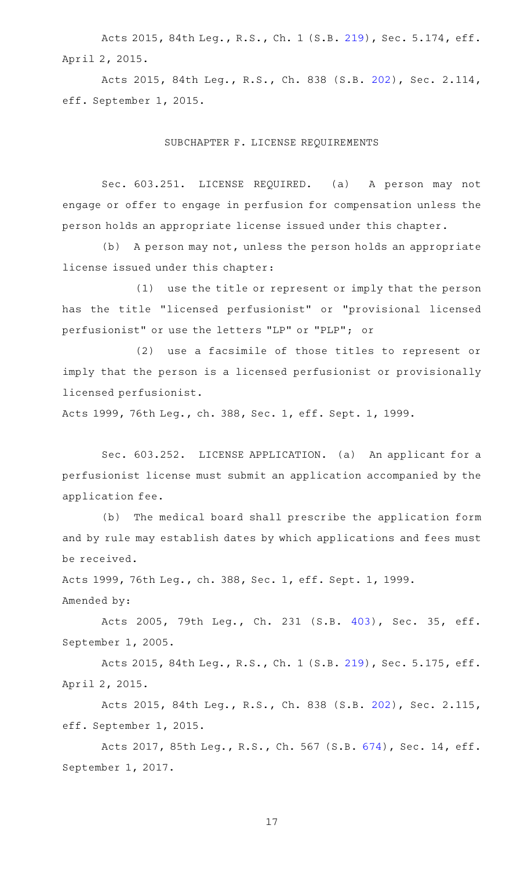Acts 2015, 84th Leg., R.S., Ch. 1 (S.B. [219](http://www.legis.state.tx.us/tlodocs/84R/billtext/html/SB00219F.HTM)), Sec. 5.174, eff. April 2, 2015.

Acts 2015, 84th Leg., R.S., Ch. 838 (S.B. [202](http://www.legis.state.tx.us/tlodocs/84R/billtext/html/SB00202F.HTM)), Sec. 2.114, eff. September 1, 2015.

## SUBCHAPTER F. LICENSE REQUIREMENTS

Sec. 603.251. LICENSE REQUIRED. (a) A person may not engage or offer to engage in perfusion for compensation unless the person holds an appropriate license issued under this chapter.

(b) A person may not, unless the person holds an appropriate license issued under this chapter:

(1) use the title or represent or imply that the person has the title "licensed perfusionist" or "provisional licensed perfusionist" or use the letters "LP" or "PLP"; or

(2) use a facsimile of those titles to represent or imply that the person is a licensed perfusionist or provisionally licensed perfusionist.

Acts 1999, 76th Leg., ch. 388, Sec. 1, eff. Sept. 1, 1999.

Sec. 603.252. LICENSE APPLICATION. (a) An applicant for a perfusionist license must submit an application accompanied by the application fee.

(b) The medical board shall prescribe the application form and by rule may establish dates by which applications and fees must be received.

Acts 1999, 76th Leg., ch. 388, Sec. 1, eff. Sept. 1, 1999.

Amended by:

Acts 2005, 79th Leg., Ch. 231 (S.B. [403\)](http://www.legis.state.tx.us/tlodocs/79R/billtext/html/SB00403F.HTM), Sec. 35, eff. September 1, 2005.

Acts 2015, 84th Leg., R.S., Ch. 1 (S.B. [219](http://www.legis.state.tx.us/tlodocs/84R/billtext/html/SB00219F.HTM)), Sec. 5.175, eff. April 2, 2015.

Acts 2015, 84th Leg., R.S., Ch. 838 (S.B. [202](http://www.legis.state.tx.us/tlodocs/84R/billtext/html/SB00202F.HTM)), Sec. 2.115, eff. September 1, 2015.

Acts 2017, 85th Leg., R.S., Ch. 567 (S.B. [674\)](http://www.legis.state.tx.us/tlodocs/85R/billtext/html/SB00674F.HTM), Sec. 14, eff. September 1, 2017.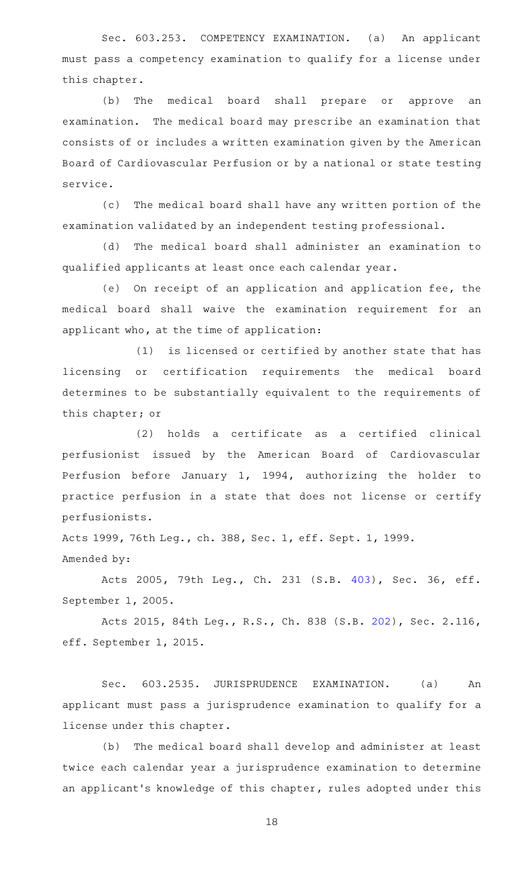Sec. 603.253. COMPETENCY EXAMINATION. (a) An applicant must pass a competency examination to qualify for a license under this chapter.

(b) The medical board shall prepare or approve an examination. The medical board may prescribe an examination that consists of or includes a written examination given by the American Board of Cardiovascular Perfusion or by a national or state testing service.

(c) The medical board shall have any written portion of the examination validated by an independent testing professional.

(d) The medical board shall administer an examination to qualified applicants at least once each calendar year.

(e) On receipt of an application and application fee, the medical board shall waive the examination requirement for an applicant who, at the time of application:

(1) is licensed or certified by another state that has licensing or certification requirements the medical board determines to be substantially equivalent to the requirements of this chapter; or

(2) holds a certificate as a certified clinical perfusionist issued by the American Board of Cardiovascular Perfusion before January 1, 1994, authorizing the holder to practice perfusion in a state that does not license or certify perfusionists.

Acts 1999, 76th Leg., ch. 388, Sec. 1, eff. Sept. 1, 1999. Amended by:

Acts 2005, 79th Leg., Ch. 231 (S.B. [403\)](http://www.legis.state.tx.us/tlodocs/79R/billtext/html/SB00403F.HTM), Sec. 36, eff. September 1, 2005.

Acts 2015, 84th Leg., R.S., Ch. 838 (S.B. [202](http://www.legis.state.tx.us/tlodocs/84R/billtext/html/SB00202F.HTM)), Sec. 2.116, eff. September 1, 2015.

Sec. 603.2535. JURISPRUDENCE EXAMINATION. (a) An applicant must pass a jurisprudence examination to qualify for a license under this chapter.

(b) The medical board shall develop and administer at least twice each calendar year a jurisprudence examination to determine an applicant 's knowledge of this chapter, rules adopted under this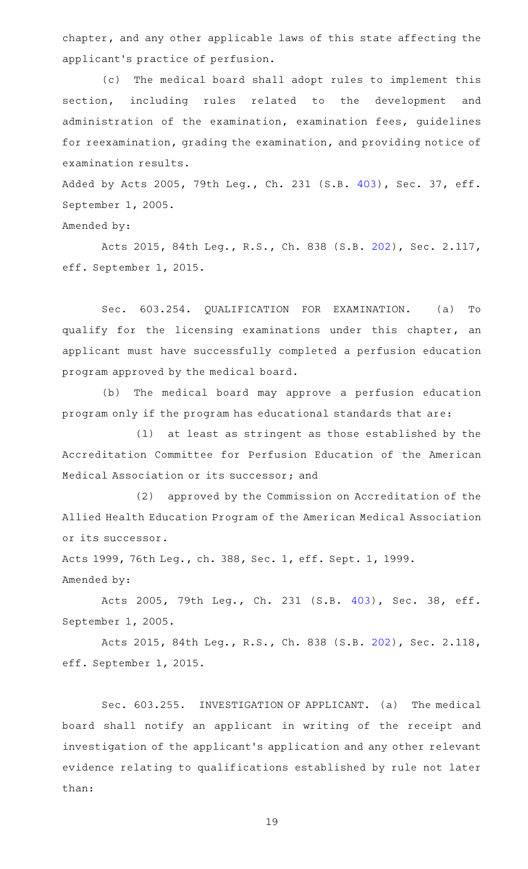chapter, and any other applicable laws of this state affecting the applicant 's practice of perfusion.

(c) The medical board shall adopt rules to implement this section, including rules related to the development and administration of the examination, examination fees, guidelines for reexamination, grading the examination, and providing notice of examination results.

Added by Acts 2005, 79th Leg., Ch. 231 (S.B. [403](http://www.legis.state.tx.us/tlodocs/79R/billtext/html/SB00403F.HTM)), Sec. 37, eff. September 1, 2005.

Amended by:

Acts 2015, 84th Leg., R.S., Ch. 838 (S.B. [202](http://www.legis.state.tx.us/tlodocs/84R/billtext/html/SB00202F.HTM)), Sec. 2.117, eff. September 1, 2015.

Sec. 603.254. QUALIFICATION FOR EXAMINATION. (a) To qualify for the licensing examinations under this chapter, an applicant must have successfully completed a perfusion education program approved by the medical board.

(b) The medical board may approve a perfusion education program only if the program has educational standards that are:

 $(1)$  at least as stringent as those established by the Accreditation Committee for Perfusion Education of the American Medical Association or its successor; and

(2) approved by the Commission on Accreditation of the Allied Health Education Program of the American Medical Association or its successor.

Acts 1999, 76th Leg., ch. 388, Sec. 1, eff. Sept. 1, 1999. Amended by:

Acts 2005, 79th Leg., Ch. 231 (S.B. [403\)](http://www.legis.state.tx.us/tlodocs/79R/billtext/html/SB00403F.HTM), Sec. 38, eff. September 1, 2005.

Acts 2015, 84th Leg., R.S., Ch. 838 (S.B. [202](http://www.legis.state.tx.us/tlodocs/84R/billtext/html/SB00202F.HTM)), Sec. 2.118, eff. September 1, 2015.

Sec. 603.255. INVESTIGATION OF APPLICANT. (a) The medical board shall notify an applicant in writing of the receipt and investigation of the applicant 's application and any other relevant evidence relating to qualifications established by rule not later than: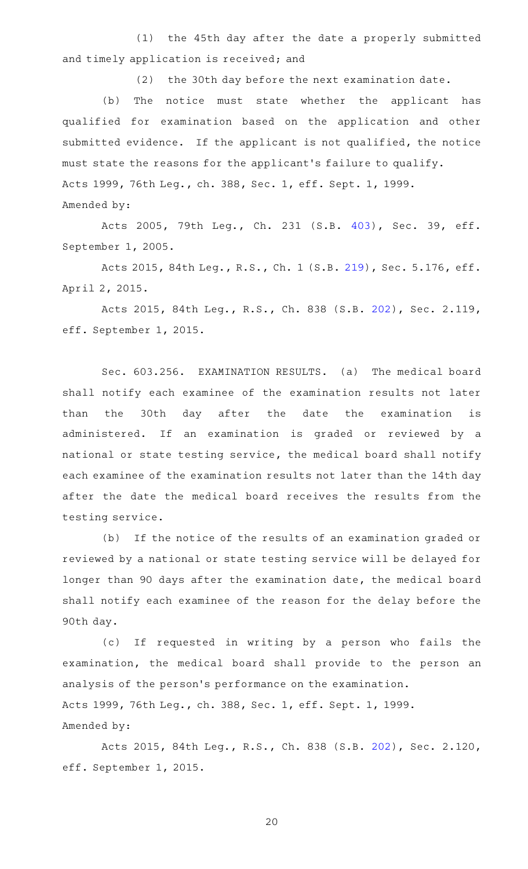(1) the 45th day after the date a properly submitted and timely application is received; and

(2) the 30th day before the next examination date.

(b) The notice must state whether the applicant has qualified for examination based on the application and other submitted evidence. If the applicant is not qualified, the notice must state the reasons for the applicant 's failure to qualify. Acts 1999, 76th Leg., ch. 388, Sec. 1, eff. Sept. 1, 1999. Amended by:

Acts 2005, 79th Leg., Ch. 231 (S.B. [403\)](http://www.legis.state.tx.us/tlodocs/79R/billtext/html/SB00403F.HTM), Sec. 39, eff. September 1, 2005.

Acts 2015, 84th Leg., R.S., Ch. 1 (S.B. [219](http://www.legis.state.tx.us/tlodocs/84R/billtext/html/SB00219F.HTM)), Sec. 5.176, eff. April 2, 2015.

Acts 2015, 84th Leg., R.S., Ch. 838 (S.B. [202](http://www.legis.state.tx.us/tlodocs/84R/billtext/html/SB00202F.HTM)), Sec. 2.119, eff. September 1, 2015.

Sec. 603.256. EXAMINATION RESULTS. (a) The medical board shall notify each examinee of the examination results not later than the 30th day after the date the examination is administered. If an examination is graded or reviewed by a national or state testing service, the medical board shall notify each examinee of the examination results not later than the 14th day after the date the medical board receives the results from the testing service.

(b) If the notice of the results of an examination graded or reviewed by a national or state testing service will be delayed for longer than 90 days after the examination date, the medical board shall notify each examinee of the reason for the delay before the 90th day.

(c) If requested in writing by a person who fails the examination, the medical board shall provide to the person an analysis of the person 's performance on the examination. Acts 1999, 76th Leg., ch. 388, Sec. 1, eff. Sept. 1, 1999. Amended by:

Acts 2015, 84th Leg., R.S., Ch. 838 (S.B. [202](http://www.legis.state.tx.us/tlodocs/84R/billtext/html/SB00202F.HTM)), Sec. 2.120, eff. September 1, 2015.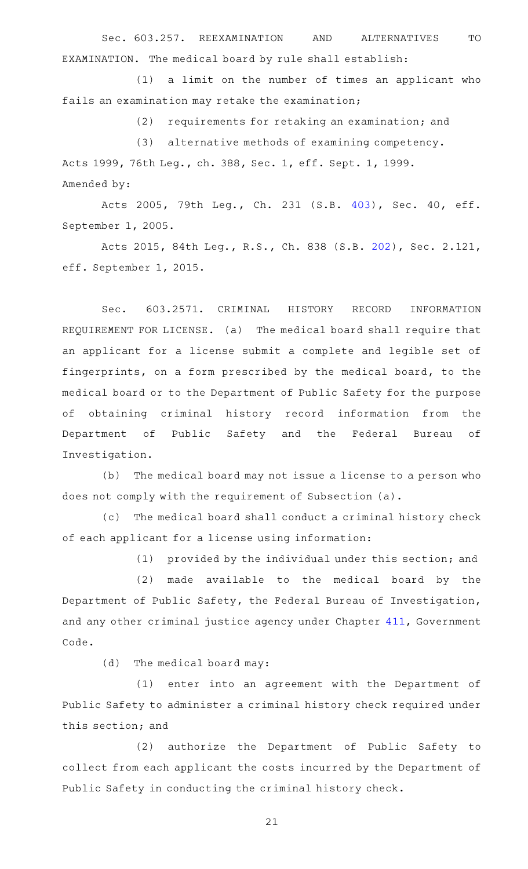Sec. 603.257. REEXAMINATION AND ALTERNATIVES TO EXAMINATION. The medical board by rule shall establish:

(1) a limit on the number of times an applicant who fails an examination may retake the examination;

(2) requirements for retaking an examination; and

(3) alternative methods of examining competency. Acts 1999, 76th Leg., ch. 388, Sec. 1, eff. Sept. 1, 1999. Amended by:

Acts 2005, 79th Leg., Ch. 231 (S.B. [403\)](http://www.legis.state.tx.us/tlodocs/79R/billtext/html/SB00403F.HTM), Sec. 40, eff. September 1, 2005.

Acts 2015, 84th Leg., R.S., Ch. 838 (S.B. [202](http://www.legis.state.tx.us/tlodocs/84R/billtext/html/SB00202F.HTM)), Sec. 2.121, eff. September 1, 2015.

Sec. 603.2571. CRIMINAL HISTORY RECORD INFORMATION REQUIREMENT FOR LICENSE. (a) The medical board shall require that an applicant for a license submit a complete and legible set of fingerprints, on a form prescribed by the medical board, to the medical board or to the Department of Public Safety for the purpose of obtaining criminal history record information from the Department of Public Safety and the Federal Bureau of Investigation.

(b) The medical board may not issue a license to a person who does not comply with the requirement of Subsection (a).

(c) The medical board shall conduct a criminal history check of each applicant for a license using information:

(1) provided by the individual under this section; and

(2) made available to the medical board by the Department of Public Safety, the Federal Bureau of Investigation, and any other criminal justice agency under Chapter [411,](http://www.statutes.legis.state.tx.us/GetStatute.aspx?Code=GV&Value=411) Government Code.

 $(d)$  The medical board may:

(1) enter into an agreement with the Department of Public Safety to administer a criminal history check required under this section; and

(2) authorize the Department of Public Safety to collect from each applicant the costs incurred by the Department of Public Safety in conducting the criminal history check.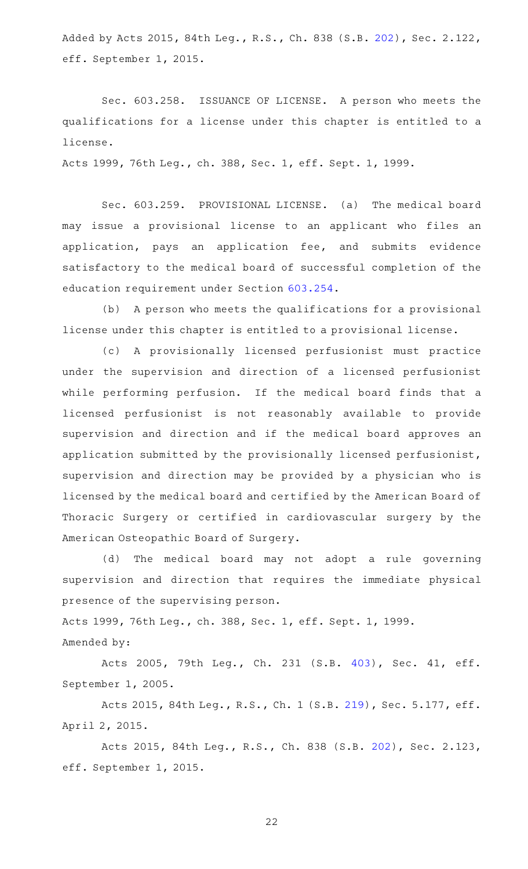Added by Acts 2015, 84th Leg., R.S., Ch. 838 (S.B. [202\)](http://www.legis.state.tx.us/tlodocs/84R/billtext/html/SB00202F.HTM), Sec. 2.122, eff. September 1, 2015.

Sec. 603.258. ISSUANCE OF LICENSE. A person who meets the qualifications for a license under this chapter is entitled to a license.

Acts 1999, 76th Leg., ch. 388, Sec. 1, eff. Sept. 1, 1999.

Sec. 603.259. PROVISIONAL LICENSE. (a) The medical board may issue a provisional license to an applicant who files an application, pays an application fee, and submits evidence satisfactory to the medical board of successful completion of the education requirement under Section [603.254.](http://www.statutes.legis.state.tx.us/GetStatute.aspx?Code=OC&Value=603.254)

(b) A person who meets the qualifications for a provisional license under this chapter is entitled to a provisional license.

(c)AAA provisionally licensed perfusionist must practice under the supervision and direction of a licensed perfusionist while performing perfusion. If the medical board finds that a licensed perfusionist is not reasonably available to provide supervision and direction and if the medical board approves an application submitted by the provisionally licensed perfusionist, supervision and direction may be provided by a physician who is licensed by the medical board and certified by the American Board of Thoracic Surgery or certified in cardiovascular surgery by the American Osteopathic Board of Surgery.

(d) The medical board may not adopt a rule governing supervision and direction that requires the immediate physical presence of the supervising person.

Acts 1999, 76th Leg., ch. 388, Sec. 1, eff. Sept. 1, 1999.

Amended by:

Acts 2005, 79th Leg., Ch. 231 (S.B. [403\)](http://www.legis.state.tx.us/tlodocs/79R/billtext/html/SB00403F.HTM), Sec. 41, eff. September 1, 2005.

Acts 2015, 84th Leg., R.S., Ch. 1 (S.B. [219](http://www.legis.state.tx.us/tlodocs/84R/billtext/html/SB00219F.HTM)), Sec. 5.177, eff. April 2, 2015.

Acts 2015, 84th Leg., R.S., Ch. 838 (S.B. [202](http://www.legis.state.tx.us/tlodocs/84R/billtext/html/SB00202F.HTM)), Sec. 2.123, eff. September 1, 2015.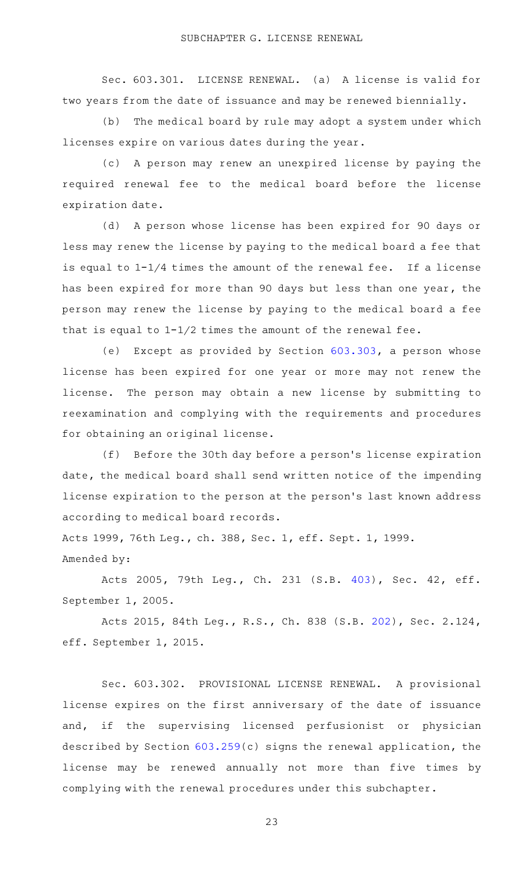Sec. 603.301. LICENSE RENEWAL. (a) A license is valid for two years from the date of issuance and may be renewed biennially.

(b) The medical board by rule may adopt a system under which licenses expire on various dates during the year.

(c) A person may renew an unexpired license by paying the required renewal fee to the medical board before the license expiration date.

(d) A person whose license has been expired for 90 days or less may renew the license by paying to the medical board a fee that is equal to  $1-1/4$  times the amount of the renewal fee. If a license has been expired for more than 90 days but less than one year, the person may renew the license by paying to the medical board a fee that is equal to  $1-1/2$  times the amount of the renewal fee.

(e) Except as provided by Section  $603.303$ , a person whose license has been expired for one year or more may not renew the license. The person may obtain a new license by submitting to reexamination and complying with the requirements and procedures for obtaining an original license.

(f) Before the 30th day before a person's license expiration date, the medical board shall send written notice of the impending license expiration to the person at the person's last known address according to medical board records.

Acts 1999, 76th Leg., ch. 388, Sec. 1, eff. Sept. 1, 1999. Amended by:

Acts 2005, 79th Leg., Ch. 231 (S.B. [403\)](http://www.legis.state.tx.us/tlodocs/79R/billtext/html/SB00403F.HTM), Sec. 42, eff. September 1, 2005.

Acts 2015, 84th Leg., R.S., Ch. 838 (S.B. [202](http://www.legis.state.tx.us/tlodocs/84R/billtext/html/SB00202F.HTM)), Sec. 2.124, eff. September 1, 2015.

Sec. 603.302. PROVISIONAL LICENSE RENEWAL. A provisional license expires on the first anniversary of the date of issuance and, if the supervising licensed perfusionist or physician described by Section [603.259\(](http://www.statutes.legis.state.tx.us/GetStatute.aspx?Code=OC&Value=603.259)c) signs the renewal application, the license may be renewed annually not more than five times by complying with the renewal procedures under this subchapter.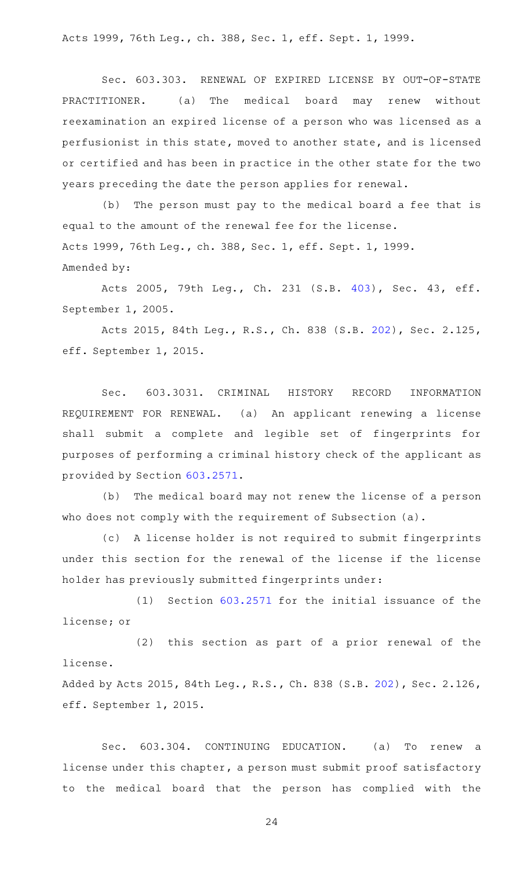Acts 1999, 76th Leg., ch. 388, Sec. 1, eff. Sept. 1, 1999.

Sec. 603.303. RENEWAL OF EXPIRED LICENSE BY OUT-OF-STATE PRACTITIONER. (a) The medical board may renew without reexamination an expired license of a person who was licensed as a perfusionist in this state, moved to another state, and is licensed or certified and has been in practice in the other state for the two years preceding the date the person applies for renewal.

(b) The person must pay to the medical board a fee that is equal to the amount of the renewal fee for the license. Acts 1999, 76th Leg., ch. 388, Sec. 1, eff. Sept. 1, 1999. Amended by:

Acts 2005, 79th Leg., Ch. 231 (S.B. [403\)](http://www.legis.state.tx.us/tlodocs/79R/billtext/html/SB00403F.HTM), Sec. 43, eff. September 1, 2005.

Acts 2015, 84th Leg., R.S., Ch. 838 (S.B. [202](http://www.legis.state.tx.us/tlodocs/84R/billtext/html/SB00202F.HTM)), Sec. 2.125, eff. September 1, 2015.

Sec. 603.3031. CRIMINAL HISTORY RECORD INFORMATION REQUIREMENT FOR RENEWAL. (a) An applicant renewing a license shall submit a complete and legible set of fingerprints for purposes of performing a criminal history check of the applicant as provided by Section [603.2571.](http://www.statutes.legis.state.tx.us/GetStatute.aspx?Code=OC&Value=603.2571)

(b) The medical board may not renew the license of a person who does not comply with the requirement of Subsection (a).

(c) A license holder is not required to submit fingerprints under this section for the renewal of the license if the license holder has previously submitted fingerprints under:

 $(1)$  Section  $603.2571$  for the initial issuance of the license; or

(2) this section as part of a prior renewal of the license.

Added by Acts 2015, 84th Leg., R.S., Ch. 838 (S.B. [202\)](http://www.legis.state.tx.us/tlodocs/84R/billtext/html/SB00202F.HTM), Sec. 2.126, eff. September 1, 2015.

Sec. 603.304. CONTINUING EDUCATION. (a) To renew a license under this chapter, a person must submit proof satisfactory to the medical board that the person has complied with the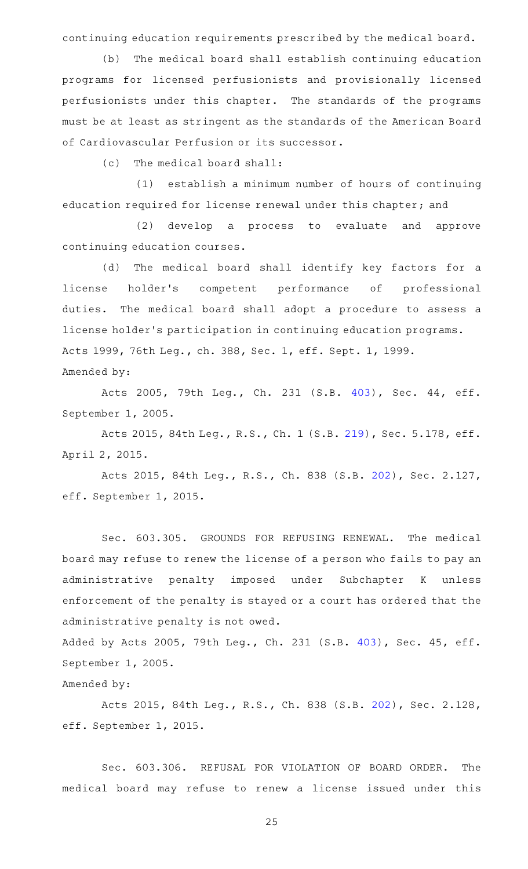continuing education requirements prescribed by the medical board.

(b) The medical board shall establish continuing education programs for licensed perfusionists and provisionally licensed perfusionists under this chapter. The standards of the programs must be at least as stringent as the standards of the American Board of Cardiovascular Perfusion or its successor.

 $(c)$  The medical board shall:

(1) establish a minimum number of hours of continuing education required for license renewal under this chapter; and

(2) develop a process to evaluate and approve continuing education courses.

(d) The medical board shall identify key factors for a license holder's competent performance of professional duties. The medical board shall adopt a procedure to assess a license holder 's participation in continuing education programs. Acts 1999, 76th Leg., ch. 388, Sec. 1, eff. Sept. 1, 1999. Amended by:

Acts 2005, 79th Leg., Ch. 231 (S.B. [403\)](http://www.legis.state.tx.us/tlodocs/79R/billtext/html/SB00403F.HTM), Sec. 44, eff. September 1, 2005.

Acts 2015, 84th Leg., R.S., Ch. 1 (S.B. [219](http://www.legis.state.tx.us/tlodocs/84R/billtext/html/SB00219F.HTM)), Sec. 5.178, eff. April 2, 2015.

Acts 2015, 84th Leg., R.S., Ch. 838 (S.B. [202](http://www.legis.state.tx.us/tlodocs/84R/billtext/html/SB00202F.HTM)), Sec. 2.127, eff. September 1, 2015.

Sec. 603.305. GROUNDS FOR REFUSING RENEWAL. The medical board may refuse to renew the license of a person who fails to pay an administrative penalty imposed under Subchapter K unless enforcement of the penalty is stayed or a court has ordered that the administrative penalty is not owed.

Added by Acts 2005, 79th Leg., Ch. 231 (S.B. [403](http://www.legis.state.tx.us/tlodocs/79R/billtext/html/SB00403F.HTM)), Sec. 45, eff. September 1, 2005.

Amended by:

Acts 2015, 84th Leg., R.S., Ch. 838 (S.B. [202](http://www.legis.state.tx.us/tlodocs/84R/billtext/html/SB00202F.HTM)), Sec. 2.128, eff. September 1, 2015.

Sec. 603.306. REFUSAL FOR VIOLATION OF BOARD ORDER. The medical board may refuse to renew a license issued under this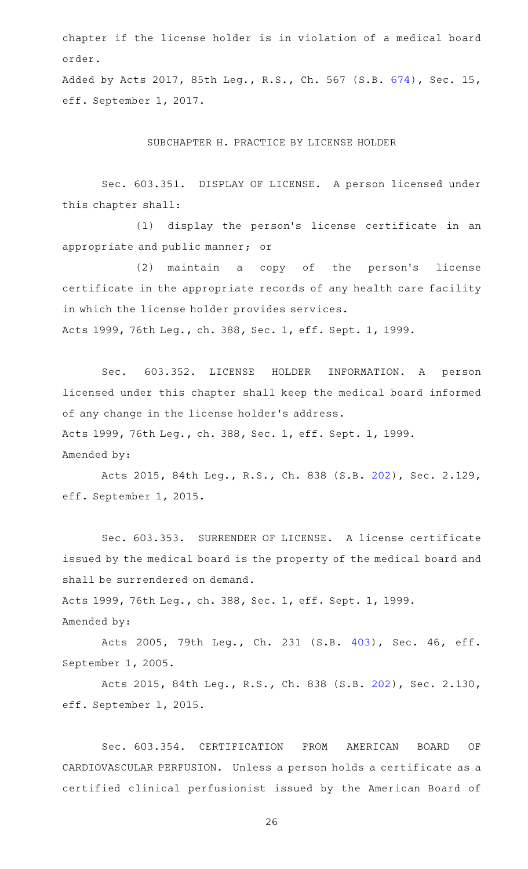chapter if the license holder is in violation of a medical board order.

Added by Acts 2017, 85th Leg., R.S., Ch. 567 (S.B. [674\)](http://www.legis.state.tx.us/tlodocs/85R/billtext/html/SB00674F.HTM), Sec. 15, eff. September 1, 2017.

SUBCHAPTER H. PRACTICE BY LICENSE HOLDER

Sec. 603.351. DISPLAY OF LICENSE. A person licensed under this chapter shall:

(1) display the person's license certificate in an appropriate and public manner; or

(2) maintain a copy of the person's license certificate in the appropriate records of any health care facility in which the license holder provides services. Acts 1999, 76th Leg., ch. 388, Sec. 1, eff. Sept. 1, 1999.

Sec. 603.352. LICENSE HOLDER INFORMATION. A person licensed under this chapter shall keep the medical board informed of any change in the license holder 's address. Acts 1999, 76th Leg., ch. 388, Sec. 1, eff. Sept. 1, 1999.

Amended by:

Acts 2015, 84th Leg., R.S., Ch. 838 (S.B. [202](http://www.legis.state.tx.us/tlodocs/84R/billtext/html/SB00202F.HTM)), Sec. 2.129, eff. September 1, 2015.

Sec. 603.353. SURRENDER OF LICENSE. A license certificate issued by the medical board is the property of the medical board and shall be surrendered on demand.

Acts 1999, 76th Leg., ch. 388, Sec. 1, eff. Sept. 1, 1999.

Amended by:

Acts 2005, 79th Leg., Ch. 231 (S.B. [403\)](http://www.legis.state.tx.us/tlodocs/79R/billtext/html/SB00403F.HTM), Sec. 46, eff. September 1, 2005.

Acts 2015, 84th Leg., R.S., Ch. 838 (S.B. [202](http://www.legis.state.tx.us/tlodocs/84R/billtext/html/SB00202F.HTM)), Sec. 2.130, eff. September 1, 2015.

Sec. 603.354. CERTIFICATION FROM AMERICAN BOARD OF CARDIOVASCULAR PERFUSION. Unless a person holds a certificate as a certified clinical perfusionist issued by the American Board of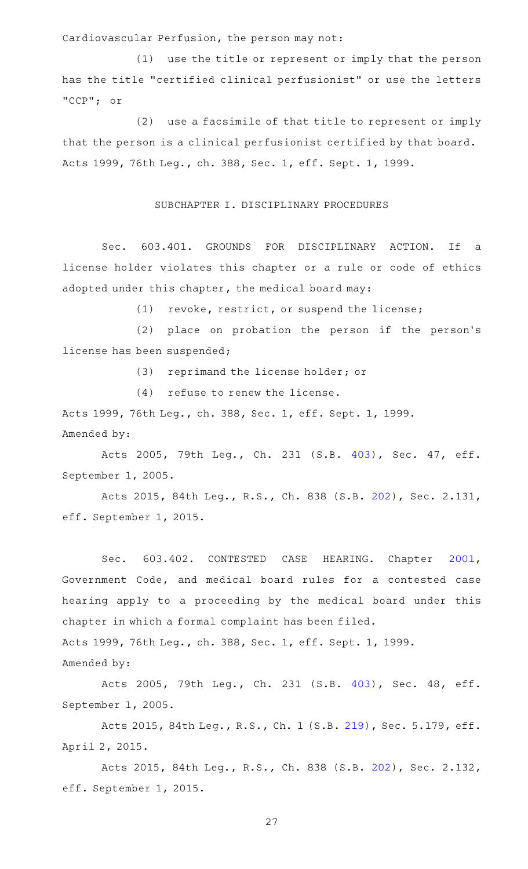Cardiovascular Perfusion, the person may not:

 $(1)$  use the title or represent or imply that the person has the title "certified clinical perfusionist" or use the letters "CCP"; or

(2) use a facsimile of that title to represent or imply that the person is a clinical perfusionist certified by that board. Acts 1999, 76th Leg., ch. 388, Sec. 1, eff. Sept. 1, 1999.

#### SUBCHAPTER I. DISCIPLINARY PROCEDURES

Sec. 603.401. GROUNDS FOR DISCIPLINARY ACTION. If a license holder violates this chapter or a rule or code of ethics adopted under this chapter, the medical board may:

(1) revoke, restrict, or suspend the license;

(2) place on probation the person if the person's license has been suspended;

(3) reprimand the license holder; or

 $(4)$  refuse to renew the license.

Acts 1999, 76th Leg., ch. 388, Sec. 1, eff. Sept. 1, 1999. Amended by:

Acts 2005, 79th Leg., Ch. 231 (S.B. [403\)](http://www.legis.state.tx.us/tlodocs/79R/billtext/html/SB00403F.HTM), Sec. 47, eff. September 1, 2005.

Acts 2015, 84th Leg., R.S., Ch. 838 (S.B. [202](http://www.legis.state.tx.us/tlodocs/84R/billtext/html/SB00202F.HTM)), Sec. 2.131, eff. September 1, 2015.

Sec. 603.402. CONTESTED CASE HEARING. Chapter [2001](http://www.statutes.legis.state.tx.us/GetStatute.aspx?Code=GV&Value=2001), Government Code, and medical board rules for a contested case hearing apply to a proceeding by the medical board under this chapter in which a formal complaint has been filed. Acts 1999, 76th Leg., ch. 388, Sec. 1, eff. Sept. 1, 1999.

Amended by:

Acts 2005, 79th Leg., Ch. 231 (S.B. [403\)](http://www.legis.state.tx.us/tlodocs/79R/billtext/html/SB00403F.HTM), Sec. 48, eff. September 1, 2005.

Acts 2015, 84th Leg., R.S., Ch. 1 (S.B. [219](http://www.legis.state.tx.us/tlodocs/84R/billtext/html/SB00219F.HTM)), Sec. 5.179, eff. April 2, 2015.

Acts 2015, 84th Leg., R.S., Ch. 838 (S.B. [202](http://www.legis.state.tx.us/tlodocs/84R/billtext/html/SB00202F.HTM)), Sec. 2.132, eff. September 1, 2015.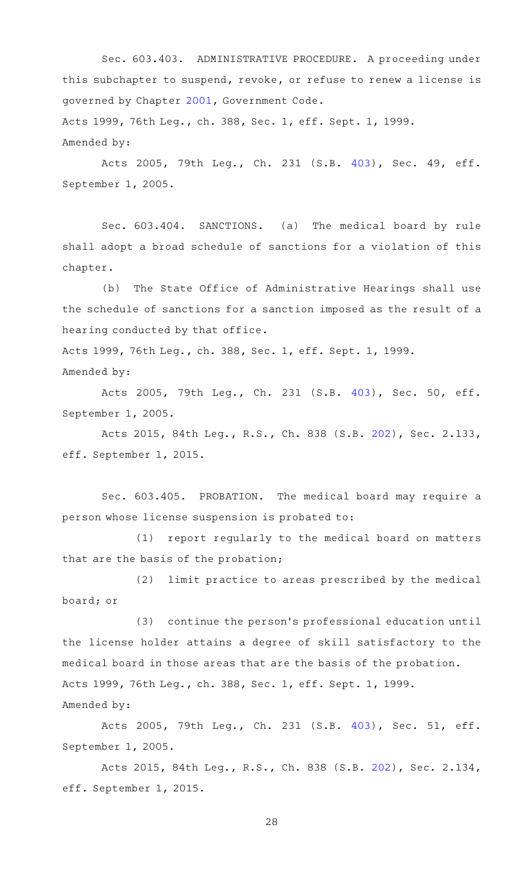Sec. 603.403. ADMINISTRATIVE PROCEDURE. A proceeding under this subchapter to suspend, revoke, or refuse to renew a license is governed by Chapter [2001,](http://www.statutes.legis.state.tx.us/GetStatute.aspx?Code=GV&Value=2001) Government Code. Acts 1999, 76th Leg., ch. 388, Sec. 1, eff. Sept. 1, 1999. Amended by:

Acts 2005, 79th Leg., Ch. 231 (S.B. [403\)](http://www.legis.state.tx.us/tlodocs/79R/billtext/html/SB00403F.HTM), Sec. 49, eff. September 1, 2005.

Sec. 603.404. SANCTIONS. (a) The medical board by rule shall adopt a broad schedule of sanctions for a violation of this chapter.

(b) The State Office of Administrative Hearings shall use the schedule of sanctions for a sanction imposed as the result of a hearing conducted by that office.

Acts 1999, 76th Leg., ch. 388, Sec. 1, eff. Sept. 1, 1999. Amended by:

Acts 2005, 79th Leg., Ch. 231 (S.B. [403\)](http://www.legis.state.tx.us/tlodocs/79R/billtext/html/SB00403F.HTM), Sec. 50, eff. September 1, 2005.

Acts 2015, 84th Leg., R.S., Ch. 838 (S.B. [202](http://www.legis.state.tx.us/tlodocs/84R/billtext/html/SB00202F.HTM)), Sec. 2.133, eff. September 1, 2015.

Sec. 603.405. PROBATION. The medical board may require a person whose license suspension is probated to:

(1) report regularly to the medical board on matters that are the basis of the probation;

(2) limit practice to areas prescribed by the medical board; or

(3) continue the person's professional education until the license holder attains a degree of skill satisfactory to the medical board in those areas that are the basis of the probation. Acts 1999, 76th Leg., ch. 388, Sec. 1, eff. Sept. 1, 1999. Amended by:

Acts 2005, 79th Leg., Ch. 231 (S.B. [403\)](http://www.legis.state.tx.us/tlodocs/79R/billtext/html/SB00403F.HTM), Sec. 51, eff. September 1, 2005.

Acts 2015, 84th Leg., R.S., Ch. 838 (S.B. [202](http://www.legis.state.tx.us/tlodocs/84R/billtext/html/SB00202F.HTM)), Sec. 2.134, eff. September 1, 2015.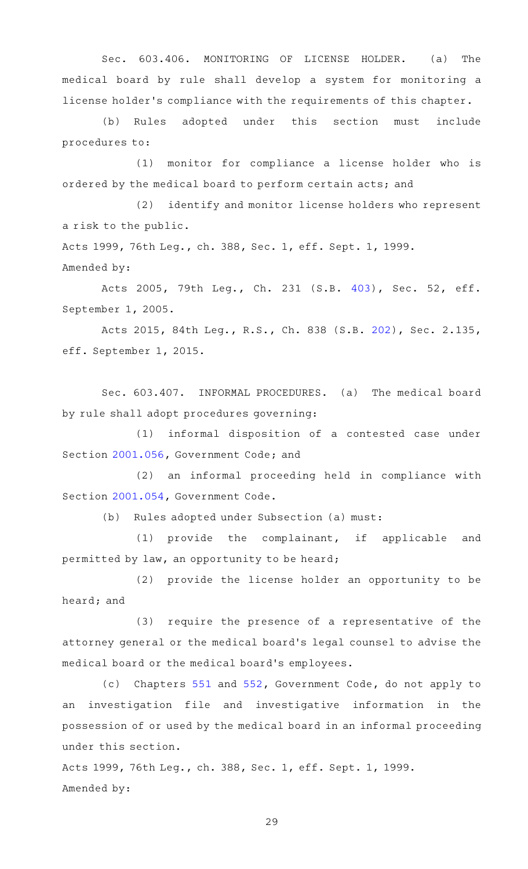Sec. 603.406. MONITORING OF LICENSE HOLDER. (a) The medical board by rule shall develop a system for monitoring a license holder 's compliance with the requirements of this chapter.

(b) Rules adopted under this section must include procedures to:

(1) monitor for compliance a license holder who is ordered by the medical board to perform certain acts; and

(2) identify and monitor license holders who represent a risk to the public.

Acts 1999, 76th Leg., ch. 388, Sec. 1, eff. Sept. 1, 1999. Amended by:

Acts 2005, 79th Leg., Ch. 231 (S.B. [403\)](http://www.legis.state.tx.us/tlodocs/79R/billtext/html/SB00403F.HTM), Sec. 52, eff. September 1, 2005.

Acts 2015, 84th Leg., R.S., Ch. 838 (S.B. [202](http://www.legis.state.tx.us/tlodocs/84R/billtext/html/SB00202F.HTM)), Sec. 2.135, eff. September 1, 2015.

Sec. 603.407. INFORMAL PROCEDURES. (a) The medical board by rule shall adopt procedures governing:

 $(1)$  informal disposition of a contested case under Section [2001.056](http://www.statutes.legis.state.tx.us/GetStatute.aspx?Code=GV&Value=2001.056), Government Code; and

(2) an informal proceeding held in compliance with Section [2001.054](http://www.statutes.legis.state.tx.us/GetStatute.aspx?Code=GV&Value=2001.054), Government Code.

(b) Rules adopted under Subsection (a) must:

(1) provide the complainant, if applicable and permitted by law, an opportunity to be heard;

(2) provide the license holder an opportunity to be heard; and

 $(3)$  require the presence of a representative of the attorney general or the medical board 's legal counsel to advise the medical board or the medical board 's employees.

(c) Chapters [551](http://www.statutes.legis.state.tx.us/GetStatute.aspx?Code=GV&Value=551) and [552,](http://www.statutes.legis.state.tx.us/GetStatute.aspx?Code=GV&Value=552) Government Code, do not apply to an investigation file and investigative information in the possession of or used by the medical board in an informal proceeding under this section.

Acts 1999, 76th Leg., ch. 388, Sec. 1, eff. Sept. 1, 1999. Amended by: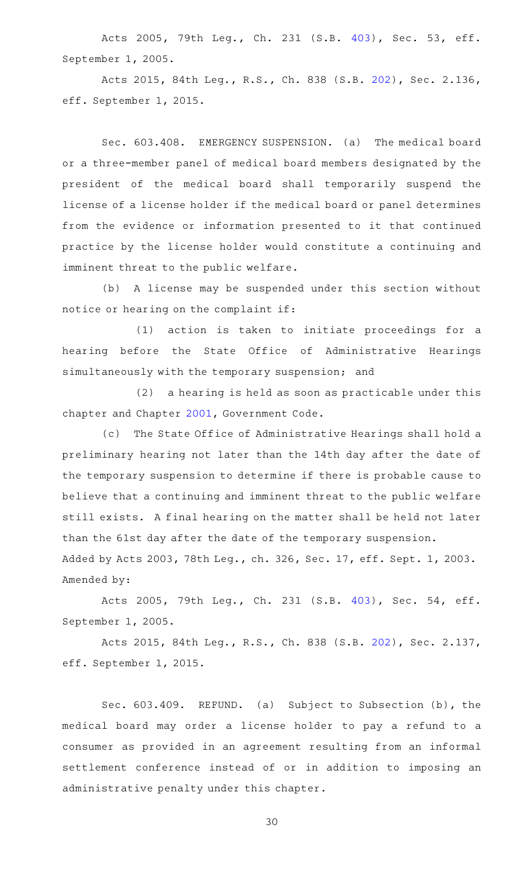Acts 2005, 79th Leg., Ch. 231 (S.B. [403\)](http://www.legis.state.tx.us/tlodocs/79R/billtext/html/SB00403F.HTM), Sec. 53, eff. September 1, 2005.

Acts 2015, 84th Leg., R.S., Ch. 838 (S.B. [202](http://www.legis.state.tx.us/tlodocs/84R/billtext/html/SB00202F.HTM)), Sec. 2.136, eff. September 1, 2015.

Sec. 603.408. EMERGENCY SUSPENSION. (a) The medical board or a three-member panel of medical board members designated by the president of the medical board shall temporarily suspend the license of a license holder if the medical board or panel determines from the evidence or information presented to it that continued practice by the license holder would constitute a continuing and imminent threat to the public welfare.

(b) A license may be suspended under this section without notice or hearing on the complaint if:

(1) action is taken to initiate proceedings for a hearing before the State Office of Administrative Hearings simultaneously with the temporary suspension; and

 $(2)$  a hearing is held as soon as practicable under this chapter and Chapter [2001,](http://www.statutes.legis.state.tx.us/GetStatute.aspx?Code=GV&Value=2001) Government Code.

(c) The State Office of Administrative Hearings shall hold a preliminary hearing not later than the 14th day after the date of the temporary suspension to determine if there is probable cause to believe that a continuing and imminent threat to the public welfare still exists. A final hearing on the matter shall be held not later than the 61st day after the date of the temporary suspension. Added by Acts 2003, 78th Leg., ch. 326, Sec. 17, eff. Sept. 1, 2003. Amended by:

Acts 2005, 79th Leg., Ch. 231 (S.B. [403\)](http://www.legis.state.tx.us/tlodocs/79R/billtext/html/SB00403F.HTM), Sec. 54, eff. September 1, 2005.

Acts 2015, 84th Leg., R.S., Ch. 838 (S.B. [202](http://www.legis.state.tx.us/tlodocs/84R/billtext/html/SB00202F.HTM)), Sec. 2.137, eff. September 1, 2015.

Sec. 603.409. REFUND. (a) Subject to Subsection (b), the medical board may order a license holder to pay a refund to a consumer as provided in an agreement resulting from an informal settlement conference instead of or in addition to imposing an administrative penalty under this chapter.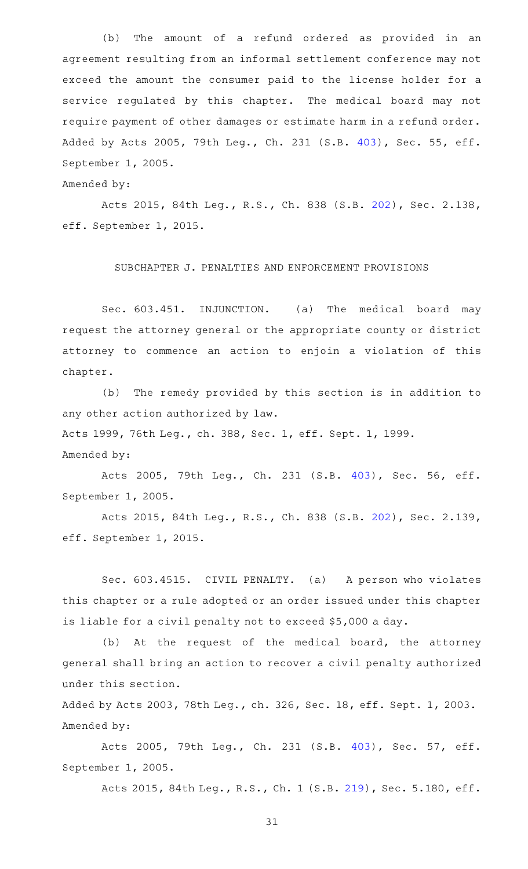(b) The amount of a refund ordered as provided in an agreement resulting from an informal settlement conference may not exceed the amount the consumer paid to the license holder for a service regulated by this chapter. The medical board may not require payment of other damages or estimate harm in a refund order. Added by Acts 2005, 79th Leg., Ch. 231 (S.B. [403](http://www.legis.state.tx.us/tlodocs/79R/billtext/html/SB00403F.HTM)), Sec. 55, eff. September 1, 2005.

Amended by:

Acts 2015, 84th Leg., R.S., Ch. 838 (S.B. [202](http://www.legis.state.tx.us/tlodocs/84R/billtext/html/SB00202F.HTM)), Sec. 2.138, eff. September 1, 2015.

# SUBCHAPTER J. PENALTIES AND ENFORCEMENT PROVISIONS

Sec. 603.451. INJUNCTION. (a) The medical board may request the attorney general or the appropriate county or district attorney to commence an action to enjoin a violation of this chapter.

(b) The remedy provided by this section is in addition to any other action authorized by law.

Acts 1999, 76th Leg., ch. 388, Sec. 1, eff. Sept. 1, 1999.

Amended by:

Acts 2005, 79th Leg., Ch. 231 (S.B. [403\)](http://www.legis.state.tx.us/tlodocs/79R/billtext/html/SB00403F.HTM), Sec. 56, eff. September 1, 2005.

Acts 2015, 84th Leg., R.S., Ch. 838 (S.B. [202](http://www.legis.state.tx.us/tlodocs/84R/billtext/html/SB00202F.HTM)), Sec. 2.139, eff. September 1, 2015.

Sec. 603.4515. CIVIL PENALTY. (a) A person who violates this chapter or a rule adopted or an order issued under this chapter is liable for a civil penalty not to exceed \$5,000 a day.

(b) At the request of the medical board, the attorney general shall bring an action to recover a civil penalty authorized under this section.

Added by Acts 2003, 78th Leg., ch. 326, Sec. 18, eff. Sept. 1, 2003. Amended by:

Acts 2005, 79th Leg., Ch. 231 (S.B. [403\)](http://www.legis.state.tx.us/tlodocs/79R/billtext/html/SB00403F.HTM), Sec. 57, eff. September 1, 2005.

Acts 2015, 84th Leg., R.S., Ch. 1 (S.B. [219](http://www.legis.state.tx.us/tlodocs/84R/billtext/html/SB00219F.HTM)), Sec. 5.180, eff.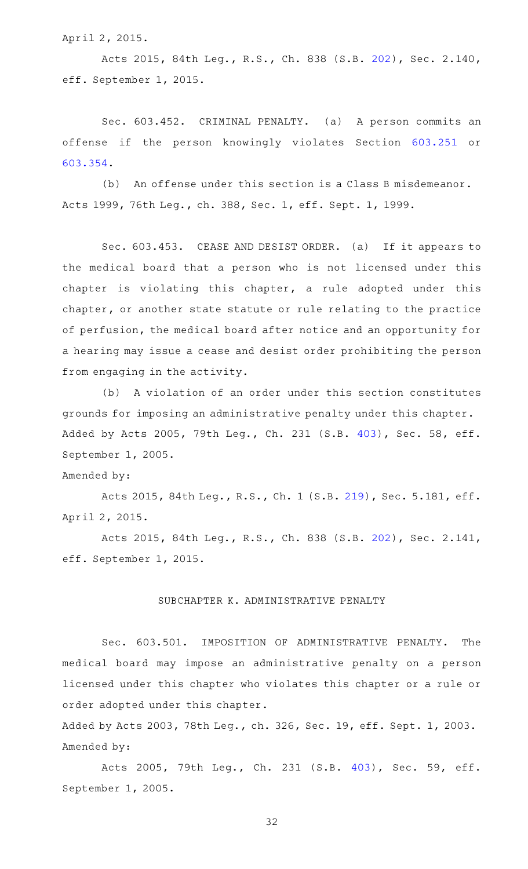April 2, 2015.

Acts 2015, 84th Leg., R.S., Ch. 838 (S.B. [202](http://www.legis.state.tx.us/tlodocs/84R/billtext/html/SB00202F.HTM)), Sec. 2.140, eff. September 1, 2015.

Sec. 603.452. CRIMINAL PENALTY. (a) A person commits an offense if the person knowingly violates Section [603.251](http://www.statutes.legis.state.tx.us/GetStatute.aspx?Code=OC&Value=603.251) or [603.354.](http://www.statutes.legis.state.tx.us/GetStatute.aspx?Code=OC&Value=603.354)

(b) An offense under this section is a Class B misdemeanor. Acts 1999, 76th Leg., ch. 388, Sec. 1, eff. Sept. 1, 1999.

Sec. 603.453. CEASE AND DESIST ORDER. (a) If it appears to the medical board that a person who is not licensed under this chapter is violating this chapter, a rule adopted under this chapter, or another state statute or rule relating to the practice of perfusion, the medical board after notice and an opportunity for a hearing may issue a cease and desist order prohibiting the person from engaging in the activity.

(b) A violation of an order under this section constitutes grounds for imposing an administrative penalty under this chapter. Added by Acts 2005, 79th Leg., Ch. 231 (S.B. [403](http://www.legis.state.tx.us/tlodocs/79R/billtext/html/SB00403F.HTM)), Sec. 58, eff. September 1, 2005.

Amended by:

Acts 2015, 84th Leg., R.S., Ch. 1 (S.B. [219](http://www.legis.state.tx.us/tlodocs/84R/billtext/html/SB00219F.HTM)), Sec. 5.181, eff. April 2, 2015.

Acts 2015, 84th Leg., R.S., Ch. 838 (S.B. [202](http://www.legis.state.tx.us/tlodocs/84R/billtext/html/SB00202F.HTM)), Sec. 2.141, eff. September 1, 2015.

# SUBCHAPTER K. ADMINISTRATIVE PENALTY

Sec. 603.501. IMPOSITION OF ADMINISTRATIVE PENALTY. The medical board may impose an administrative penalty on a person licensed under this chapter who violates this chapter or a rule or order adopted under this chapter.

Added by Acts 2003, 78th Leg., ch. 326, Sec. 19, eff. Sept. 1, 2003. Amended by:

Acts 2005, 79th Leg., Ch. 231 (S.B. [403\)](http://www.legis.state.tx.us/tlodocs/79R/billtext/html/SB00403F.HTM), Sec. 59, eff. September 1, 2005.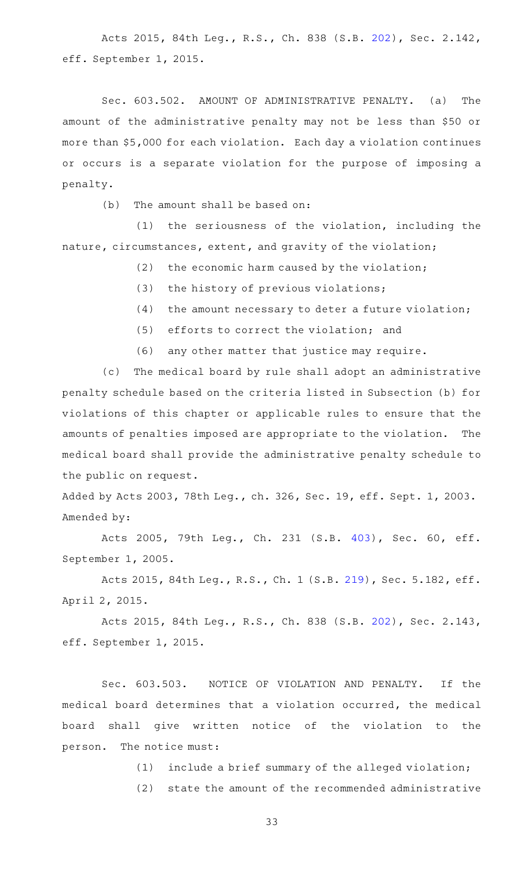Acts 2015, 84th Leg., R.S., Ch. 838 (S.B. [202](http://www.legis.state.tx.us/tlodocs/84R/billtext/html/SB00202F.HTM)), Sec. 2.142, eff. September 1, 2015.

Sec. 603.502. AMOUNT OF ADMINISTRATIVE PENALTY. (a) The amount of the administrative penalty may not be less than \$50 or more than \$5,000 for each violation. Each day a violation continues or occurs is a separate violation for the purpose of imposing a penalty.

 $(b)$  The amount shall be based on:

 $(1)$  the seriousness of the violation, including the nature, circumstances, extent, and gravity of the violation;

 $(2)$  the economic harm caused by the violation;

- $(3)$  the history of previous violations;
- $(4)$  the amount necessary to deter a future violation;
- $(5)$  efforts to correct the violation; and
- (6) any other matter that justice may require.

(c) The medical board by rule shall adopt an administrative penalty schedule based on the criteria listed in Subsection (b) for violations of this chapter or applicable rules to ensure that the amounts of penalties imposed are appropriate to the violation. The medical board shall provide the administrative penalty schedule to the public on request.

Added by Acts 2003, 78th Leg., ch. 326, Sec. 19, eff. Sept. 1, 2003. Amended by:

Acts 2005, 79th Leg., Ch. 231 (S.B. [403\)](http://www.legis.state.tx.us/tlodocs/79R/billtext/html/SB00403F.HTM), Sec. 60, eff. September 1, 2005.

Acts 2015, 84th Leg., R.S., Ch. 1 (S.B. [219](http://www.legis.state.tx.us/tlodocs/84R/billtext/html/SB00219F.HTM)), Sec. 5.182, eff. April 2, 2015.

Acts 2015, 84th Leg., R.S., Ch. 838 (S.B. [202](http://www.legis.state.tx.us/tlodocs/84R/billtext/html/SB00202F.HTM)), Sec. 2.143, eff. September 1, 2015.

Sec. 603.503. NOTICE OF VIOLATION AND PENALTY. If the medical board determines that a violation occurred, the medical board shall give written notice of the violation to the person. The notice must:

 $(1)$  include a brief summary of the alleged violation;

(2) state the amount of the recommended administrative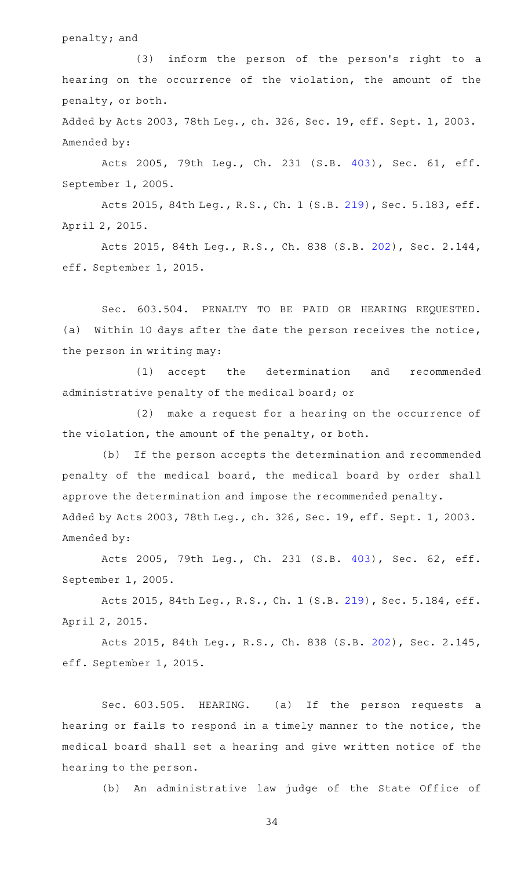### penalty; and

(3) inform the person of the person's right to a hearing on the occurrence of the violation, the amount of the penalty, or both.

Added by Acts 2003, 78th Leg., ch. 326, Sec. 19, eff. Sept. 1, 2003. Amended by:

Acts 2005, 79th Leg., Ch. 231 (S.B. [403\)](http://www.legis.state.tx.us/tlodocs/79R/billtext/html/SB00403F.HTM), Sec. 61, eff. September 1, 2005.

Acts 2015, 84th Leg., R.S., Ch. 1 (S.B. [219](http://www.legis.state.tx.us/tlodocs/84R/billtext/html/SB00219F.HTM)), Sec. 5.183, eff. April 2, 2015.

Acts 2015, 84th Leg., R.S., Ch. 838 (S.B. [202](http://www.legis.state.tx.us/tlodocs/84R/billtext/html/SB00202F.HTM)), Sec. 2.144, eff. September 1, 2015.

Sec. 603.504. PENALTY TO BE PAID OR HEARING REQUESTED. (a) Within 10 days after the date the person receives the notice, the person in writing may:

(1) accept the determination and recommended administrative penalty of the medical board; or

 $(2)$  make a request for a hearing on the occurrence of the violation, the amount of the penalty, or both.

(b) If the person accepts the determination and recommended penalty of the medical board, the medical board by order shall approve the determination and impose the recommended penalty. Added by Acts 2003, 78th Leg., ch. 326, Sec. 19, eff. Sept. 1, 2003. Amended by:

Acts 2005, 79th Leg., Ch. 231 (S.B. [403\)](http://www.legis.state.tx.us/tlodocs/79R/billtext/html/SB00403F.HTM), Sec. 62, eff. September 1, 2005.

Acts 2015, 84th Leg., R.S., Ch. 1 (S.B. [219](http://www.legis.state.tx.us/tlodocs/84R/billtext/html/SB00219F.HTM)), Sec. 5.184, eff. April 2, 2015.

Acts 2015, 84th Leg., R.S., Ch. 838 (S.B. [202](http://www.legis.state.tx.us/tlodocs/84R/billtext/html/SB00202F.HTM)), Sec. 2.145, eff. September 1, 2015.

Sec. 603.505. HEARING. (a) If the person requests a hearing or fails to respond in a timely manner to the notice, the medical board shall set a hearing and give written notice of the hearing to the person.

(b) An administrative law judge of the State Office of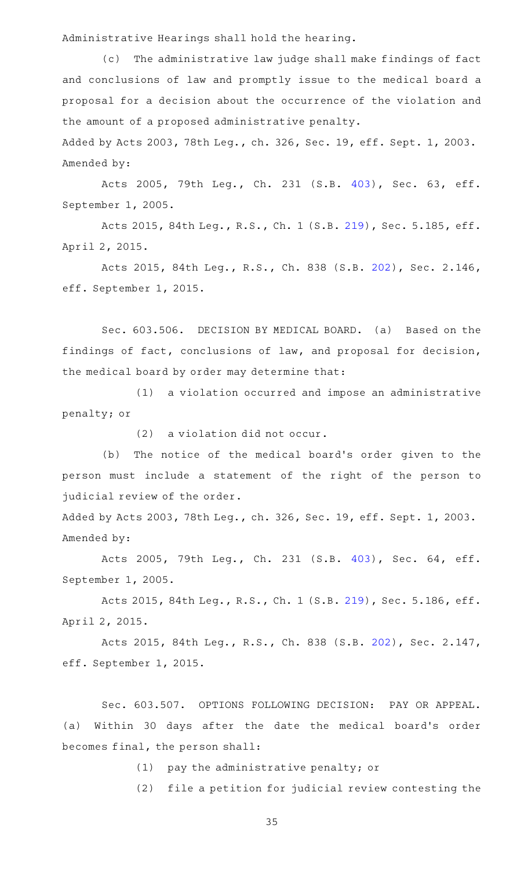Administrative Hearings shall hold the hearing.

(c) The administrative law judge shall make findings of fact and conclusions of law and promptly issue to the medical board a proposal for a decision about the occurrence of the violation and the amount of a proposed administrative penalty.

Added by Acts 2003, 78th Leg., ch. 326, Sec. 19, eff. Sept. 1, 2003. Amended by:

Acts 2005, 79th Leg., Ch. 231 (S.B. [403\)](http://www.legis.state.tx.us/tlodocs/79R/billtext/html/SB00403F.HTM), Sec. 63, eff. September 1, 2005.

Acts 2015, 84th Leg., R.S., Ch. 1 (S.B. [219](http://www.legis.state.tx.us/tlodocs/84R/billtext/html/SB00219F.HTM)), Sec. 5.185, eff. April 2, 2015.

Acts 2015, 84th Leg., R.S., Ch. 838 (S.B. [202](http://www.legis.state.tx.us/tlodocs/84R/billtext/html/SB00202F.HTM)), Sec. 2.146, eff. September 1, 2015.

Sec. 603.506. DECISION BY MEDICAL BOARD. (a) Based on the findings of fact, conclusions of law, and proposal for decision, the medical board by order may determine that:

(1) a violation occurred and impose an administrative penalty; or

 $(2)$  a violation did not occur.

(b) The notice of the medical board's order given to the person must include a statement of the right of the person to judicial review of the order.

Added by Acts 2003, 78th Leg., ch. 326, Sec. 19, eff. Sept. 1, 2003. Amended by:

Acts 2005, 79th Leg., Ch. 231 (S.B. [403\)](http://www.legis.state.tx.us/tlodocs/79R/billtext/html/SB00403F.HTM), Sec. 64, eff. September 1, 2005.

Acts 2015, 84th Leg., R.S., Ch. 1 (S.B. [219](http://www.legis.state.tx.us/tlodocs/84R/billtext/html/SB00219F.HTM)), Sec. 5.186, eff. April 2, 2015.

Acts 2015, 84th Leg., R.S., Ch. 838 (S.B. [202](http://www.legis.state.tx.us/tlodocs/84R/billtext/html/SB00202F.HTM)), Sec. 2.147, eff. September 1, 2015.

Sec. 603.507. OPTIONS FOLLOWING DECISION: PAY OR APPEAL. (a) Within 30 days after the date the medical board's order becomes final, the person shall:

 $(1)$  pay the administrative penalty; or

(2) file a petition for judicial review contesting the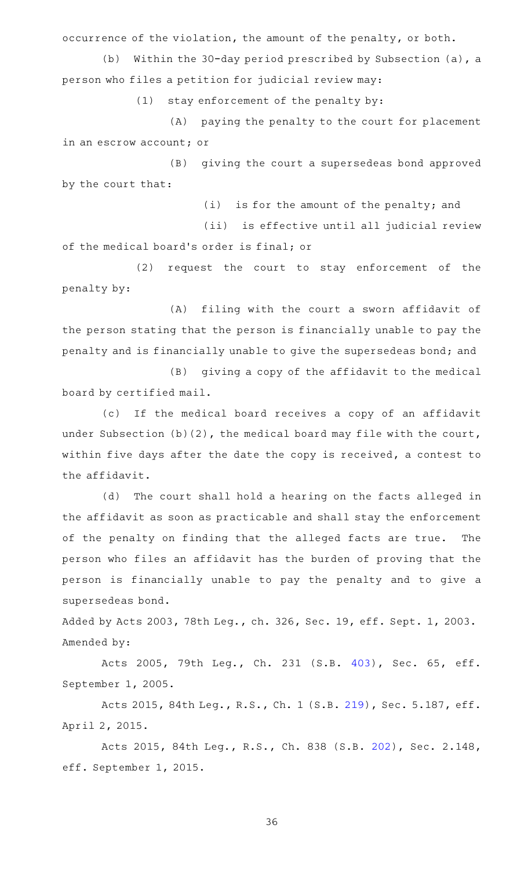occurrence of the violation, the amount of the penalty, or both.

(b) Within the 30-day period prescribed by Subsection (a), a person who files a petition for judicial review may:

 $(1)$  stay enforcement of the penalty by:

(A) paying the penalty to the court for placement in an escrow account; or

(B) giving the court a supersedeas bond approved by the court that:

 $(i)$  is for the amount of the penalty; and

(ii) is effective until all judicial review of the medical board's order is final; or

(2) request the court to stay enforcement of the penalty by:

(A) filing with the court a sworn affidavit of the person stating that the person is financially unable to pay the penalty and is financially unable to give the supersedeas bond; and

(B) giving a copy of the affidavit to the medical board by certified mail.

(c) If the medical board receives a copy of an affidavit under Subsection (b)(2), the medical board may file with the court, within five days after the date the copy is received, a contest to the affidavit.

(d) The court shall hold a hearing on the facts alleged in the affidavit as soon as practicable and shall stay the enforcement of the penalty on finding that the alleged facts are true. The person who files an affidavit has the burden of proving that the person is financially unable to pay the penalty and to give a supersedeas bond.

Added by Acts 2003, 78th Leg., ch. 326, Sec. 19, eff. Sept. 1, 2003. Amended by:

Acts 2005, 79th Leg., Ch. 231 (S.B. [403\)](http://www.legis.state.tx.us/tlodocs/79R/billtext/html/SB00403F.HTM), Sec. 65, eff. September 1, 2005.

Acts 2015, 84th Leg., R.S., Ch. 1 (S.B. [219](http://www.legis.state.tx.us/tlodocs/84R/billtext/html/SB00219F.HTM)), Sec. 5.187, eff. April 2, 2015.

Acts 2015, 84th Leg., R.S., Ch. 838 (S.B. [202](http://www.legis.state.tx.us/tlodocs/84R/billtext/html/SB00202F.HTM)), Sec. 2.148, eff. September 1, 2015.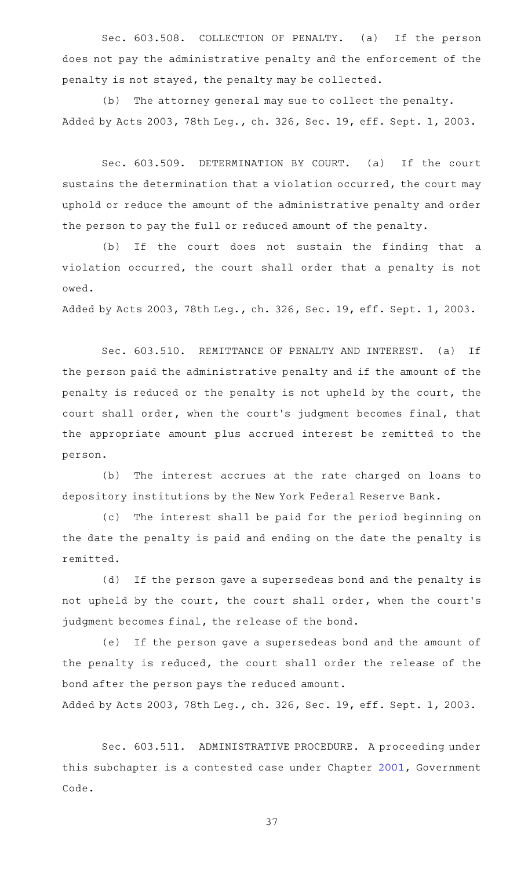Sec. 603.508. COLLECTION OF PENALTY. (a) If the person does not pay the administrative penalty and the enforcement of the penalty is not stayed, the penalty may be collected.

(b) The attorney general may sue to collect the penalty. Added by Acts 2003, 78th Leg., ch. 326, Sec. 19, eff. Sept. 1, 2003.

Sec. 603.509. DETERMINATION BY COURT. (a) If the court sustains the determination that a violation occurred, the court may uphold or reduce the amount of the administrative penalty and order the person to pay the full or reduced amount of the penalty.

(b) If the court does not sustain the finding that a violation occurred, the court shall order that a penalty is not owed.

Added by Acts 2003, 78th Leg., ch. 326, Sec. 19, eff. Sept. 1, 2003.

Sec. 603.510. REMITTANCE OF PENALTY AND INTEREST. (a) If the person paid the administrative penalty and if the amount of the penalty is reduced or the penalty is not upheld by the court, the court shall order, when the court 's judgment becomes final, that the appropriate amount plus accrued interest be remitted to the person.

(b) The interest accrues at the rate charged on loans to depository institutions by the New York Federal Reserve Bank.

(c) The interest shall be paid for the period beginning on the date the penalty is paid and ending on the date the penalty is remitted.

(d) If the person gave a supersedeas bond and the penalty is not upheld by the court, the court shall order, when the court 's judgment becomes final, the release of the bond.

(e) If the person gave a supersedeas bond and the amount of the penalty is reduced, the court shall order the release of the bond after the person pays the reduced amount.

Added by Acts 2003, 78th Leg., ch. 326, Sec. 19, eff. Sept. 1, 2003.

Sec. 603.511. ADMINISTRATIVE PROCEDURE. A proceeding under this subchapter is a contested case under Chapter [2001,](http://www.statutes.legis.state.tx.us/GetStatute.aspx?Code=GV&Value=2001) Government Code.